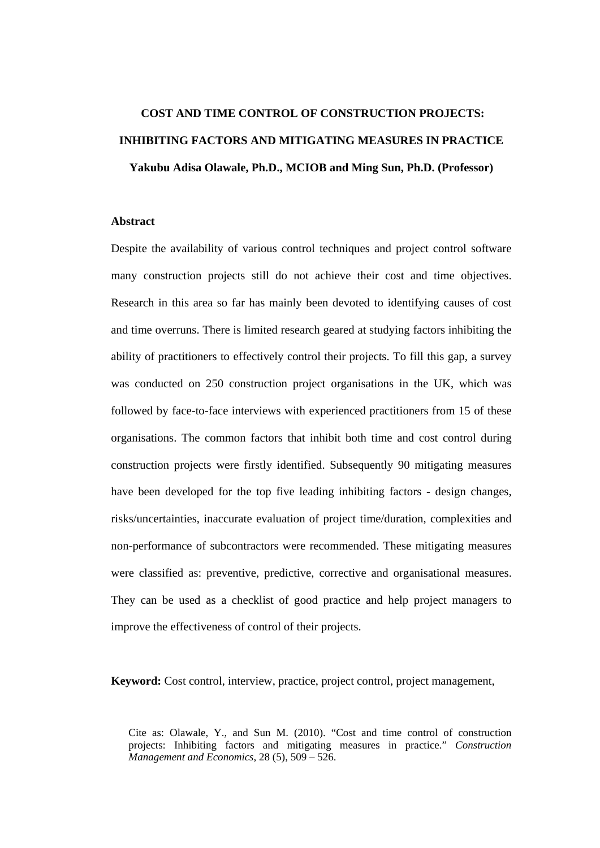# **COST AND TIME CONTROL OF CONSTRUCTION PROJECTS: INHIBITING FACTORS AND MITIGATING MEASURES IN PRACTICE Yakubu Adisa Olawale, Ph.D., MCIOB and Ming Sun, Ph.D. (Professor)**

## **Abstract**

Despite the availability of various control techniques and project control software many construction projects still do not achieve their cost and time objectives. Research in this area so far has mainly been devoted to identifying causes of cost and time overruns. There is limited research geared at studying factors inhibiting the ability of practitioners to effectively control their projects. To fill this gap, a survey was conducted on 250 construction project organisations in the UK, which was followed by face-to-face interviews with experienced practitioners from 15 of these organisations. The common factors that inhibit both time and cost control during construction projects were firstly identified. Subsequently 90 mitigating measures have been developed for the top five leading inhibiting factors - design changes, risks/uncertainties, inaccurate evaluation of project time/duration, complexities and non-performance of subcontractors were recommended. These mitigating measures were classified as: preventive, predictive, corrective and organisational measures. They can be used as a checklist of good practice and help project managers to improve the effectiveness of control of their projects.

**Keyword:** Cost control, interview, practice, project control, project management,

Cite as: Olawale, Y., and Sun M. (2010). "Cost and time control of construction projects: Inhibiting factors and mitigating measures in practice." *Construction Management and Economics*, 28 (5), 509 – 526.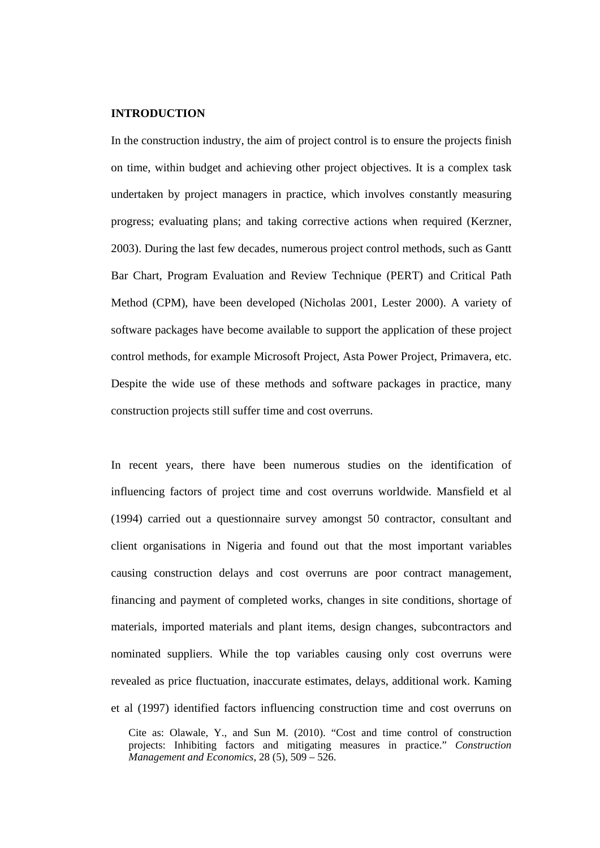#### **INTRODUCTION**

In the construction industry, the aim of project control is to ensure the projects finish on time, within budget and achieving other project objectives. It is a complex task undertaken by project managers in practice, which involves constantly measuring progress; evaluating plans; and taking corrective actions when required (Kerzner, 2003). During the last few decades, numerous project control methods, such as Gantt Bar Chart, Program Evaluation and Review Technique (PERT) and Critical Path Method (CPM), have been developed (Nicholas 2001, Lester 2000). A variety of software packages have become available to support the application of these project control methods, for example Microsoft Project, Asta Power Project, Primavera, etc. Despite the wide use of these methods and software packages in practice, many construction projects still suffer time and cost overruns.

In recent years, there have been numerous studies on the identification of influencing factors of project time and cost overruns worldwide. Mansfield et al (1994) carried out a questionnaire survey amongst 50 contractor, consultant and client organisations in Nigeria and found out that the most important variables causing construction delays and cost overruns are poor contract management, financing and payment of completed works, changes in site conditions, shortage of materials, imported materials and plant items, design changes, subcontractors and nominated suppliers. While the top variables causing only cost overruns were revealed as price fluctuation, inaccurate estimates, delays, additional work. Kaming et al (1997) identified factors influencing construction time and cost overruns on

Cite as: Olawale, Y., and Sun M. (2010). "Cost and time control of construction projects: Inhibiting factors and mitigating measures in practice." *Construction Management and Economics*, 28 (5), 509 – 526.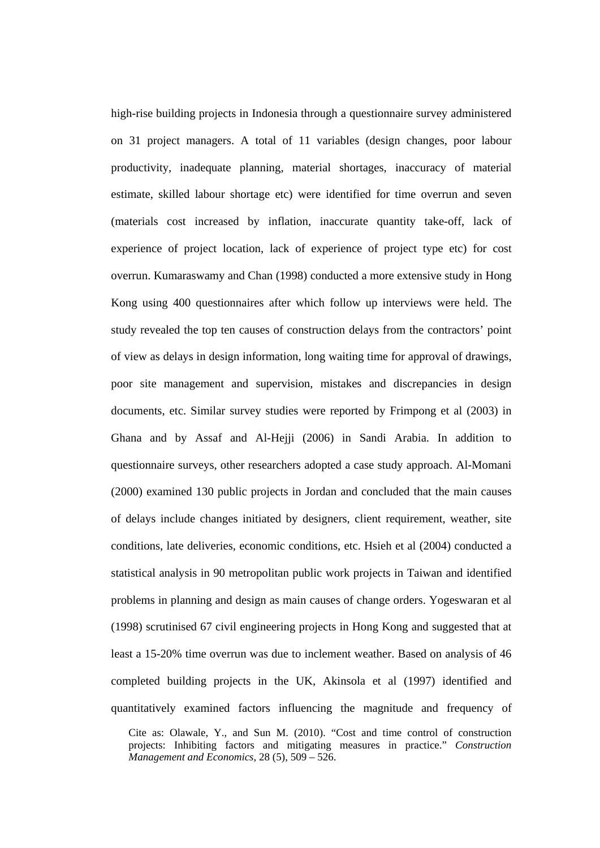high-rise building projects in Indonesia through a questionnaire survey administered on 31 project managers. A total of 11 variables (design changes, poor labour productivity, inadequate planning, material shortages, inaccuracy of material estimate, skilled labour shortage etc) were identified for time overrun and seven (materials cost increased by inflation, inaccurate quantity take-off, lack of experience of project location, lack of experience of project type etc) for cost overrun. Kumaraswamy and Chan (1998) conducted a more extensive study in Hong Kong using 400 questionnaires after which follow up interviews were held. The study revealed the top ten causes of construction delays from the contractors' point of view as delays in design information, long waiting time for approval of drawings, poor site management and supervision, mistakes and discrepancies in design documents, etc. Similar survey studies were reported by Frimpong et al (2003) in Ghana and by Assaf and Al-Hejji (2006) in Sandi Arabia. In addition to questionnaire surveys, other researchers adopted a case study approach. Al-Momani (2000) examined 130 public projects in Jordan and concluded that the main causes of delays include changes initiated by designers, client requirement, weather, site conditions, late deliveries, economic conditions, etc. Hsieh et al (2004) conducted a statistical analysis in 90 metropolitan public work projects in Taiwan and identified problems in planning and design as main causes of change orders. Yogeswaran et al (1998) scrutinised 67 civil engineering projects in Hong Kong and suggested that at least a 15-20% time overrun was due to inclement weather. Based on analysis of 46 completed building projects in the UK, Akinsola et al (1997) identified and quantitatively examined factors influencing the magnitude and frequency of

Cite as: Olawale, Y., and Sun M. (2010). "Cost and time control of construction projects: Inhibiting factors and mitigating measures in practice." *Construction Management and Economics*, 28 (5), 509 – 526.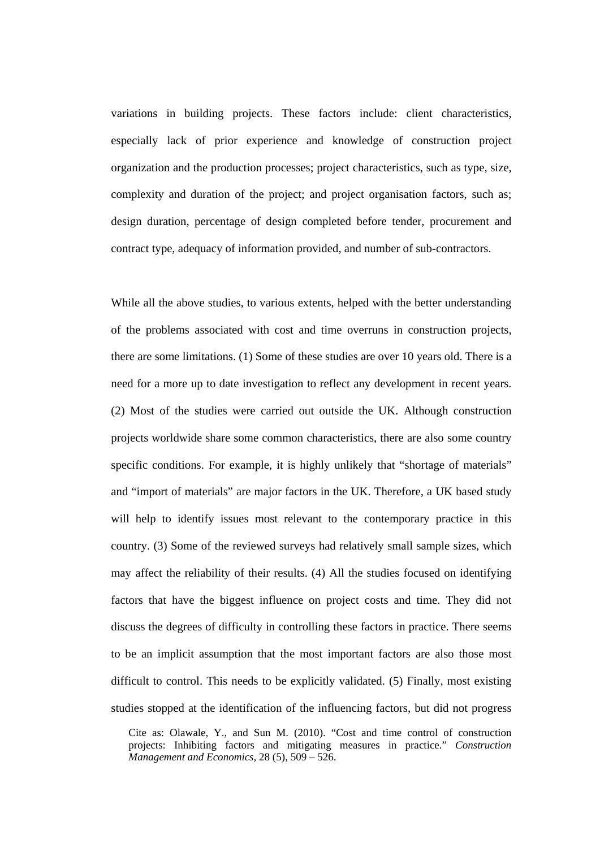variations in building projects. These factors include: client characteristics, especially lack of prior experience and knowledge of construction project organization and the production processes; project characteristics, such as type, size, complexity and duration of the project; and project organisation factors, such as; design duration, percentage of design completed before tender, procurement and contract type, adequacy of information provided, and number of sub-contractors.

While all the above studies, to various extents, helped with the better understanding of the problems associated with cost and time overruns in construction projects, there are some limitations. (1) Some of these studies are over 10 years old. There is a need for a more up to date investigation to reflect any development in recent years. (2) Most of the studies were carried out outside the UK. Although construction projects worldwide share some common characteristics, there are also some country specific conditions. For example, it is highly unlikely that "shortage of materials" and "import of materials" are major factors in the UK. Therefore, a UK based study will help to identify issues most relevant to the contemporary practice in this country. (3) Some of the reviewed surveys had relatively small sample sizes, which may affect the reliability of their results. (4) All the studies focused on identifying factors that have the biggest influence on project costs and time. They did not discuss the degrees of difficulty in controlling these factors in practice. There seems to be an implicit assumption that the most important factors are also those most difficult to control. This needs to be explicitly validated. (5) Finally, most existing studies stopped at the identification of the influencing factors, but did not progress

Cite as: Olawale, Y., and Sun M. (2010). "Cost and time control of construction projects: Inhibiting factors and mitigating measures in practice." *Construction Management and Economics*, 28 (5), 509 – 526.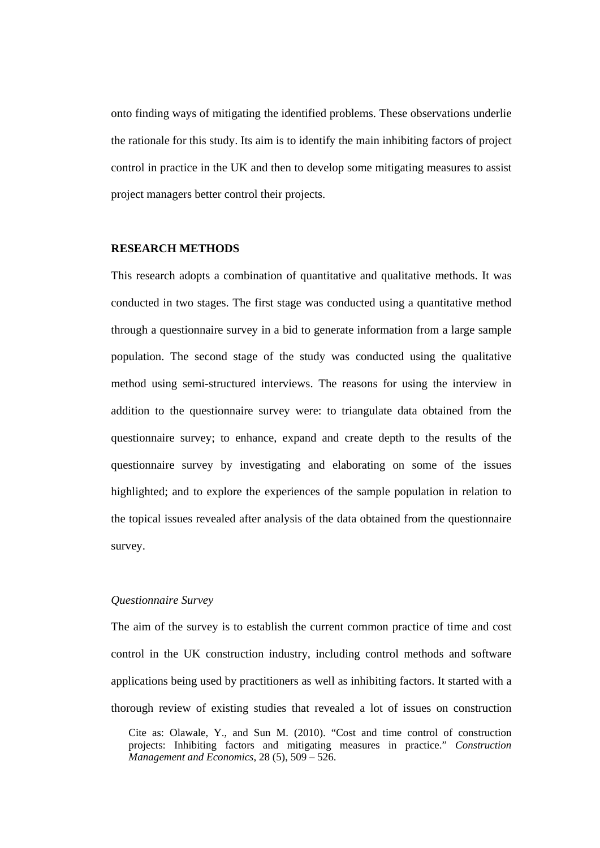onto finding ways of mitigating the identified problems. These observations underlie the rationale for this study. Its aim is to identify the main inhibiting factors of project control in practice in the UK and then to develop some mitigating measures to assist project managers better control their projects.

## **RESEARCH METHODS**

This research adopts a combination of quantitative and qualitative methods. It was conducted in two stages. The first stage was conducted using a quantitative method through a questionnaire survey in a bid to generate information from a large sample population. The second stage of the study was conducted using the qualitative method using semi-structured interviews. The reasons for using the interview in addition to the questionnaire survey were: to triangulate data obtained from the questionnaire survey; to enhance, expand and create depth to the results of the questionnaire survey by investigating and elaborating on some of the issues highlighted; and to explore the experiences of the sample population in relation to the topical issues revealed after analysis of the data obtained from the questionnaire survey.

## *Questionnaire Survey*

The aim of the survey is to establish the current common practice of time and cost control in the UK construction industry, including control methods and software applications being used by practitioners as well as inhibiting factors. It started with a thorough review of existing studies that revealed a lot of issues on construction

Cite as: Olawale, Y., and Sun M. (2010). "Cost and time control of construction projects: Inhibiting factors and mitigating measures in practice." *Construction Management and Economics*, 28 (5), 509 – 526.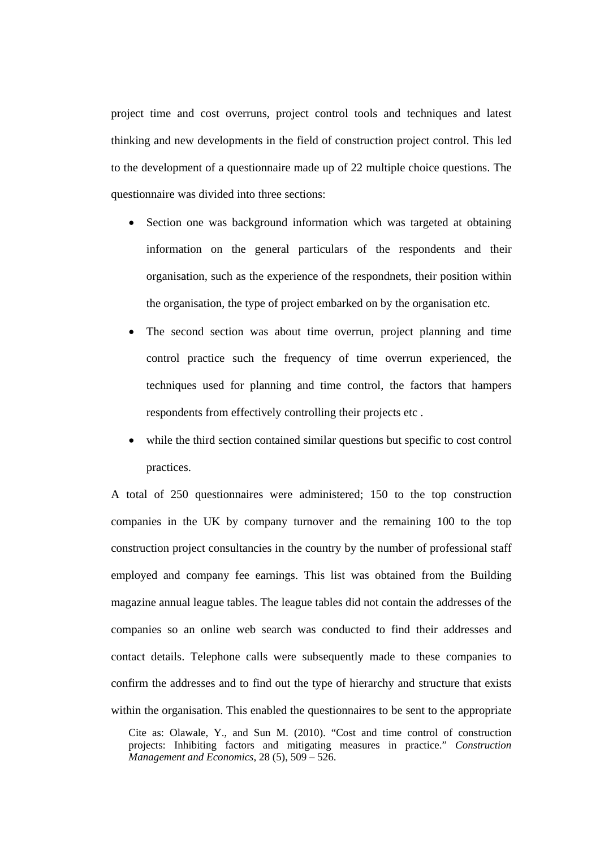project time and cost overruns, project control tools and techniques and latest thinking and new developments in the field of construction project control. This led to the development of a questionnaire made up of 22 multiple choice questions. The questionnaire was divided into three sections:

- Section one was background information which was targeted at obtaining information on the general particulars of the respondents and their organisation, such as the experience of the respondnets, their position within the organisation, the type of project embarked on by the organisation etc.
- The second section was about time overrun, project planning and time control practice such the frequency of time overrun experienced, the techniques used for planning and time control, the factors that hampers respondents from effectively controlling their projects etc .
- while the third section contained similar questions but specific to cost control practices.

A total of 250 questionnaires were administered; 150 to the top construction companies in the UK by company turnover and the remaining 100 to the top construction project consultancies in the country by the number of professional staff employed and company fee earnings. This list was obtained from the Building magazine annual league tables. The league tables did not contain the addresses of the companies so an online web search was conducted to find their addresses and contact details. Telephone calls were subsequently made to these companies to confirm the addresses and to find out the type of hierarchy and structure that exists within the organisation. This enabled the questionnaires to be sent to the appropriate

Cite as: Olawale, Y., and Sun M. (2010). "Cost and time control of construction projects: Inhibiting factors and mitigating measures in practice." *Construction Management and Economics*, 28 (5), 509 – 526.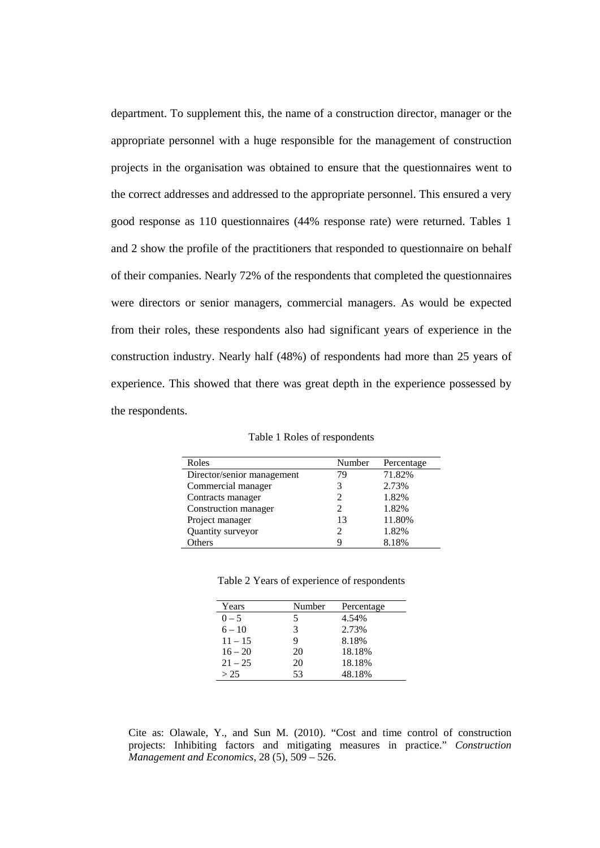department. To supplement this, the name of a construction director, manager or the appropriate personnel with a huge responsible for the management of construction projects in the organisation was obtained to ensure that the questionnaires went to the correct addresses and addressed to the appropriate personnel. This ensured a very good response as 110 questionnaires (44% response rate) were returned. Tables 1 and 2 show the profile of the practitioners that responded to questionnaire on behalf of their companies. Nearly 72% of the respondents that completed the questionnaires were directors or senior managers, commercial managers. As would be expected from their roles, these respondents also had significant years of experience in the construction industry. Nearly half (48%) of respondents had more than 25 years of experience. This showed that there was great depth in the experience possessed by the respondents.

Table 1 Roles of respondents

| Roles                      | Number                      | Percentage |
|----------------------------|-----------------------------|------------|
| Director/senior management | 79                          | 71.82%     |
| Commercial manager         | 3                           | 2.73%      |
| Contracts manager          | $\mathcal{D}_{\mathcal{L}}$ | 1.82%      |
| Construction manager       | 2                           | 1.82%      |
| Project manager            | 13                          | 11.80%     |
| Quantity surveyor          | 2                           | 1.82%      |
| <b>Others</b>              |                             | 8.18%      |

|  |  | Table 2 Years of experience of respondents |
|--|--|--------------------------------------------|
|  |  |                                            |

| Years     | Number | Percentage |
|-----------|--------|------------|
| $0 - 5$   | 5      | 4.54%      |
| $6 - 10$  | 3      | 2.73%      |
| $11 - 15$ | Q      | 8.18%      |
| $16 - 20$ | 20     | 18.18%     |
| $21 - 25$ | 20     | 18.18%     |
| > 25      | 53     | 48.18%     |

Cite as: Olawale, Y., and Sun M. (2010). "Cost and time control of construction projects: Inhibiting factors and mitigating measures in practice." *Construction Management and Economics*, 28 (5), 509 – 526.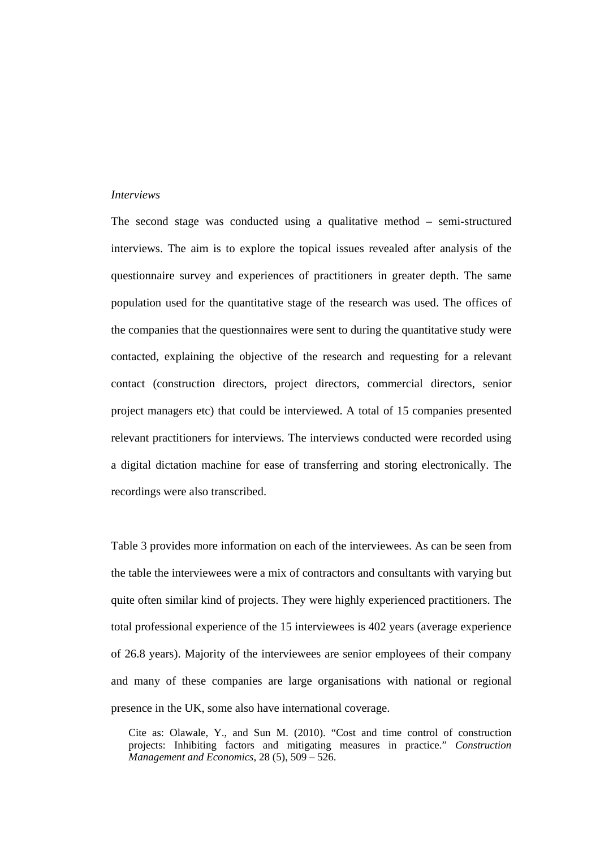### *Interviews*

The second stage was conducted using a qualitative method – semi-structured interviews. The aim is to explore the topical issues revealed after analysis of the questionnaire survey and experiences of practitioners in greater depth. The same population used for the quantitative stage of the research was used. The offices of the companies that the questionnaires were sent to during the quantitative study were contacted, explaining the objective of the research and requesting for a relevant contact (construction directors, project directors, commercial directors, senior project managers etc) that could be interviewed. A total of 15 companies presented relevant practitioners for interviews. The interviews conducted were recorded using a digital dictation machine for ease of transferring and storing electronically. The recordings were also transcribed.

Table 3 provides more information on each of the interviewees. As can be seen from the table the interviewees were a mix of contractors and consultants with varying but quite often similar kind of projects. They were highly experienced practitioners. The total professional experience of the 15 interviewees is 402 years (average experience of 26.8 years). Majority of the interviewees are senior employees of their company and many of these companies are large organisations with national or regional presence in the UK, some also have international coverage.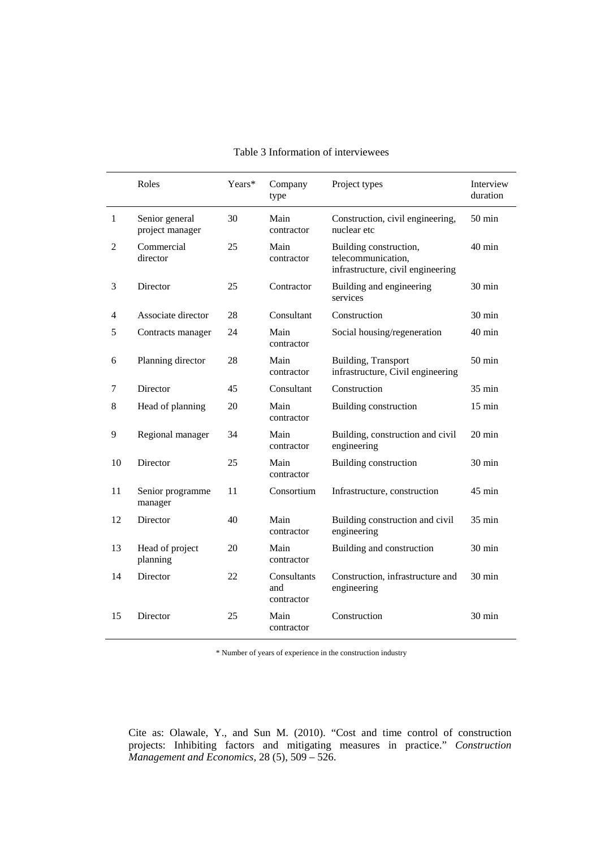|                | Roles                             | Years* | Company<br>type                  | Project types                                                                     | Interview<br>duration |
|----------------|-----------------------------------|--------|----------------------------------|-----------------------------------------------------------------------------------|-----------------------|
| $\mathbf{1}$   | Senior general<br>project manager | 30     | Main<br>contractor               | Construction, civil engineering,<br>nuclear etc                                   | $50$ min              |
| $\mathfrak{2}$ | Commercial<br>director            | 25     | Main<br>contractor               | Building construction,<br>telecommunication,<br>infrastructure, civil engineering | $40 \text{ min}$      |
| 3              | Director                          | 25     | Contractor                       | Building and engineering<br>services                                              | $30 \text{ min}$      |
| 4              | Associate director                | 28     | Consultant                       | Construction                                                                      | 30 min                |
| 5              | Contracts manager                 | 24     | Main<br>contractor               | Social housing/regeneration                                                       | 40 min                |
| 6              | Planning director                 | 28     | Main<br>contractor               | Building, Transport<br>infrastructure, Civil engineering                          | $50 \text{ min}$      |
| 7              | Director                          | 45     | Consultant                       | Construction                                                                      | $35 \text{ min}$      |
| $\,8\,$        | Head of planning                  | 20     | Main<br>contractor               | Building construction                                                             | $15 \text{ min}$      |
| 9              | Regional manager                  | 34     | Main<br>contractor               | Building, construction and civil<br>engineering                                   | $20 \text{ min}$      |
| 10             | Director                          | 25     | Main<br>contractor               | Building construction                                                             | 30 min                |
| 11             | Senior programme<br>manager       | 11     | Consortium                       | Infrastructure, construction                                                      | 45 min                |
| 12             | Director                          | 40     | Main<br>contractor               | Building construction and civil<br>engineering                                    | 35 min                |
| 13             | Head of project<br>planning       | 20     | Main<br>contractor               | Building and construction                                                         | $30 \text{ min}$      |
| 14             | Director                          | 22     | Consultants<br>and<br>contractor | Construction, infrastructure and<br>engineering                                   | 30 min                |
| 15             | Director                          | 25     | Main<br>contractor               | Construction                                                                      | 30 min                |

## Table 3 Information of interviewees

\* Number of years of experience in the construction industry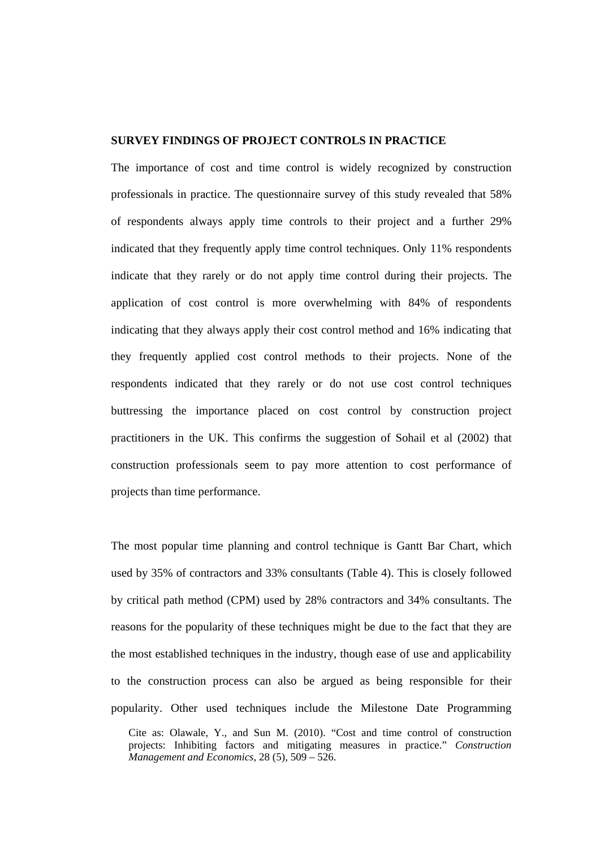# **SURVEY FINDINGS OF PROJECT CONTROLS IN PRACTICE**

The importance of cost and time control is widely recognized by construction professionals in practice. The questionnaire survey of this study revealed that 58% of respondents always apply time controls to their project and a further 29% indicated that they frequently apply time control techniques. Only 11% respondents indicate that they rarely or do not apply time control during their projects. The application of cost control is more overwhelming with 84% of respondents indicating that they always apply their cost control method and 16% indicating that they frequently applied cost control methods to their projects. None of the respondents indicated that they rarely or do not use cost control techniques buttressing the importance placed on cost control by construction project practitioners in the UK. This confirms the suggestion of Sohail et al (2002) that construction professionals seem to pay more attention to cost performance of projects than time performance.

Cite as: Olawale, Y., and Sun M. (2010). "Cost and time control of construction The most popular time planning and control technique is Gantt Bar Chart, which used by 35% of contractors and 33% consultants (Table 4). This is closely followed by critical path method (CPM) used by 28% contractors and 34% consultants. The reasons for the popularity of these techniques might be due to the fact that they are the most established techniques in the industry, though ease of use and applicability to the construction process can also be argued as being responsible for their popularity. Other used techniques include the Milestone Date Programming

projects: Inhibiting factors and mitigating measures in practice." *Construction Management and Economics*, 28 (5), 509 – 526.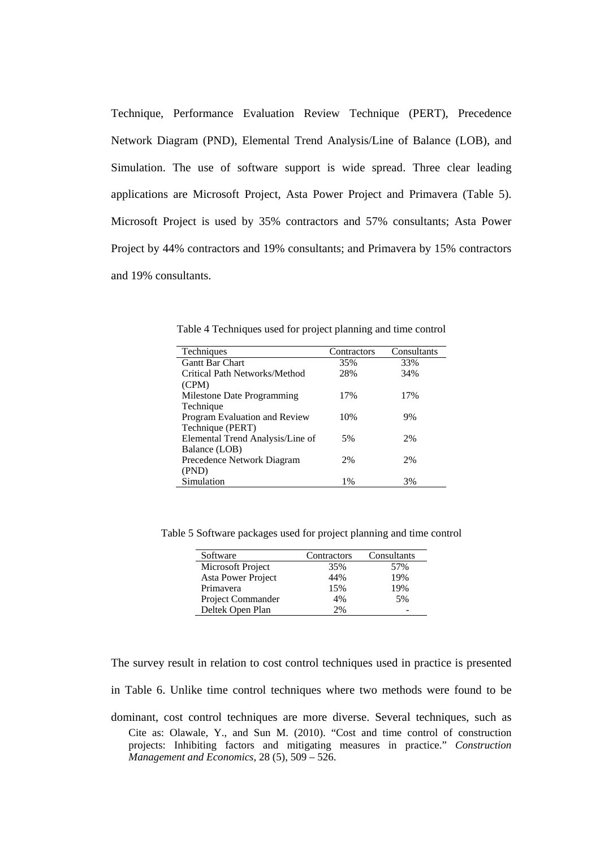Technique, Performance Evaluation Review Technique (PERT), Precedence Network Diagram (PND), Elemental Trend Analysis/Line of Balance (LOB), and Simulation. The use of software support is wide spread. Three clear leading applications are Microsoft Project, Asta Power Project and Primavera (Table 5). Microsoft Project is used by 35% contractors and 57% consultants; Asta Power Project by 44% contractors and 19% consultants; and Primavera by 15% contractors and 19% consultants.

| Techniques                       | Contractors | Consultants |
|----------------------------------|-------------|-------------|
| <b>Gantt Bar Chart</b>           | 35%         | 33%         |
| Critical Path Networks/Method    | 28%         | 34%         |
| (CPM)                            |             |             |
| Milestone Date Programming       | 17%         | 17%         |
| Technique                        |             |             |
| Program Evaluation and Review    | 10%         | 9%          |
| Technique (PERT)                 |             |             |
| Elemental Trend Analysis/Line of | 5%          | 2%          |
| Balance (LOB)                    |             |             |
| Precedence Network Diagram       | 2%          | 2%          |
| (PND)                            |             |             |
| Simulation                       | 1%          | 3%          |

Table 4 Techniques used for project planning and time control

Table 5 Software packages used for project planning and time control

| Software           | Contractors | Consultants |
|--------------------|-------------|-------------|
| Microsoft Project  | 35%         | 57%         |
| Asta Power Project | 44%         | 19%         |
| Primavera          | 15%         | 19%         |
| Project Commander  | 4%          | 5%          |
| Deltek Open Plan   | 2%          |             |

The survey result in relation to cost control techniques used in practice is presented

in Table 6. Unlike time control techniques where two methods were found to be

Cite as: Olawale, Y., and Sun M. (2010). "Cost and time control of construction projects: Inhibiting factors and mitigating measures in practice." *Construction Management and Economics*, 28 (5), 509 – 526. dominant, cost control techniques are more diverse. Several techniques, such as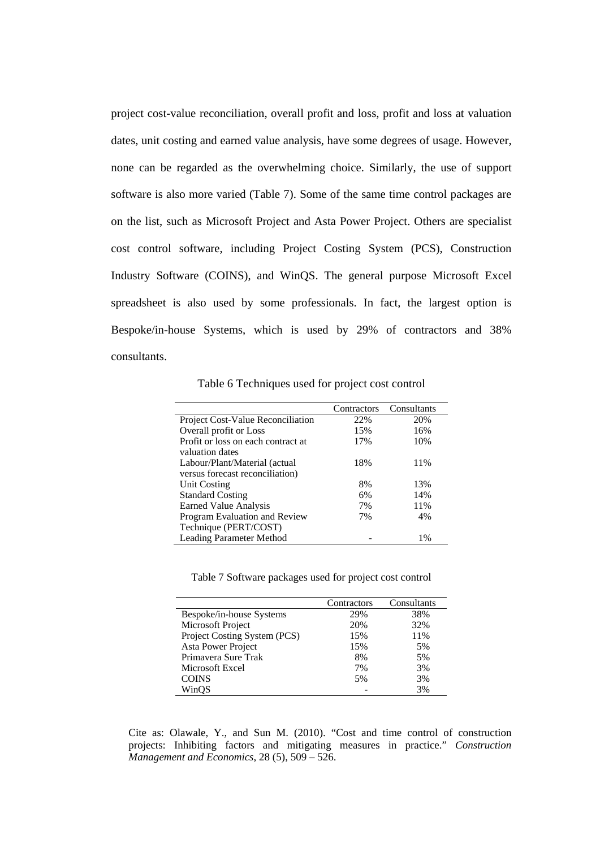project cost-value reconciliation, overall profit and loss, profit and loss at valuation dates, unit costing and earned value analysis, have some degrees of usage. However, none can be regarded as the overwhelming choice. Similarly, the use of support software is also more varied (Table 7). Some of the same time control packages are on the list, such as Microsoft Project and Asta Power Project. Others are specialist cost control software, including Project Costing System (PCS), Construction Industry Software (COINS), and WinQS. The general purpose Microsoft Excel spreadsheet is also used by some professionals. In fact, the largest option is Bespoke/in-house Systems, which is used by 29% of contractors and 38% consultants.

Table 6 Techniques used for project cost control

|                                          | Contractors | Consultants |
|------------------------------------------|-------------|-------------|
| <b>Project Cost-Value Reconciliation</b> | 22%         | 20%         |
| Overall profit or Loss                   | 15%         | 16%         |
| Profit or loss on each contract at       | 17%         | 10%         |
| valuation dates                          |             |             |
| Labour/Plant/Material (actual            | 18%         | 11%         |
| versus forecast reconciliation)          |             |             |
| Unit Costing                             | 8%          | 13%         |
| <b>Standard Costing</b>                  | 6%          | 14%         |
| Earned Value Analysis                    | 7%          | 11%         |
| Program Evaluation and Review            | 7%          | 4%          |
| Technique (PERT/COST)                    |             |             |
| <b>Leading Parameter Method</b>          |             | $1\%$       |

Table 7 Software packages used for project cost control

|                              | Contractors | Consultants |
|------------------------------|-------------|-------------|
| Bespoke/in-house Systems     | 29%         | 38%         |
| Microsoft Project            | 20%         | 32%         |
| Project Costing System (PCS) | 15%         | 11%         |
| Asta Power Project           | 15%         | 5%          |
| Primavera Sure Trak          | 8%          | 5%          |
| Microsoft Excel              | 7%          | 3%          |
| <b>COINS</b>                 | 5%          | 3%          |
| WinOS                        |             | 3%          |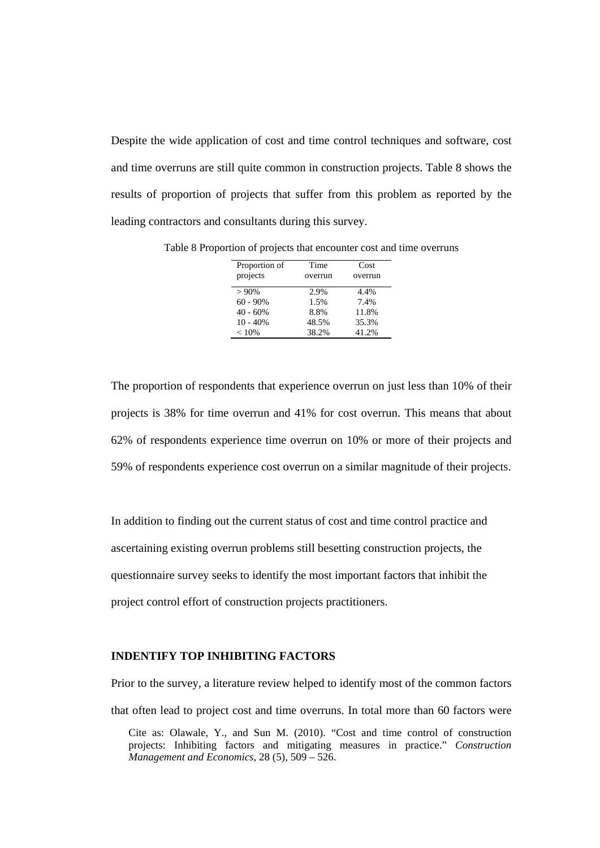Despite the wide application of cost and time control techniques and software, cost and time overruns are still quite common in construction projects. Table 8 shows the results of proportion of projects that suffer from this problem as reported by the leading contractors and consultants during this survey.

| Proportion of | Time    | Cost    |
|---------------|---------|---------|
| projects      | overrun | overrun |
|               |         |         |
| $>90\%$       | 2.9%    | 4.4%    |
| $60 - 90%$    | 1.5%    | 7.4%    |
| $40 - 60%$    | 8.8%    | 11.8%   |
| $10 - 40%$    | 48.5%   | 35.3%   |
| < 10%         | 38.2%   | 41.2%   |

Table 8 Proportion of projects that encounter cost and time overruns

The proportion of respondents that experience overrun on just less than 10% of their projects is 38% for time overrun and 41% for cost overrun. This means that about 62% of respondents experience time overrun on 10% or more of their projects and 59% of respondents experience cost overrun on a similar magnitude of their projects.

In addition to finding out the current status of cost and time control practice and ascertaining existing overrun problems still besetting construction projects, the questionnaire survey seeks to identify the most important factors that inhibit the project control effort of construction projects practitioners.

# **INDENTIFY TOP INHIBITING FACTORS**

Prior to the survey, a literature review helped to identify most of the common factors that often lead to project cost and time overruns. In total more than 60 factors were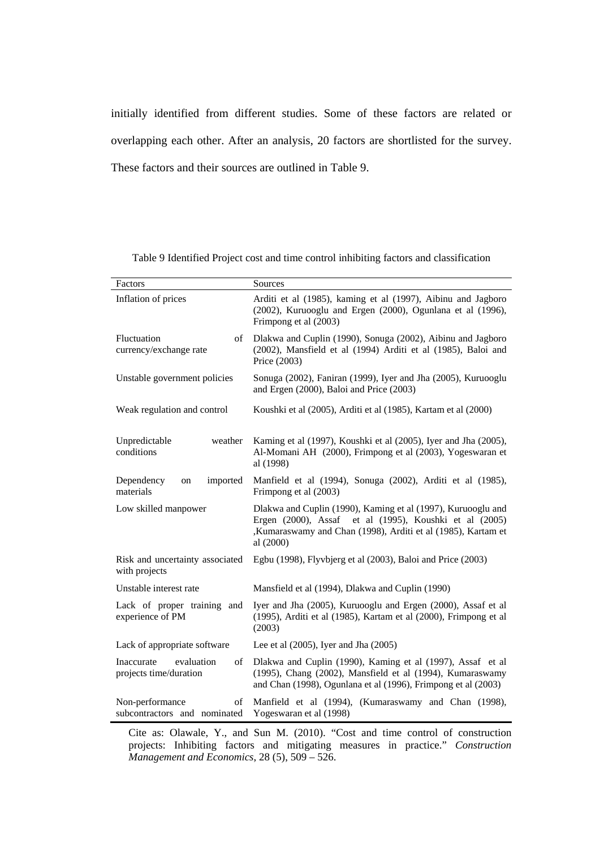initially identified from different studies. Some of these factors are related or overlapping each other. After an analysis, 20 factors are shortlisted for the survey. These factors and their sources are outlined in Table 9.

Table 9 Identified Project cost and time control inhibiting factors and classification

| Factors                                                  | Sources                                                                                                                                                                                             |
|----------------------------------------------------------|-----------------------------------------------------------------------------------------------------------------------------------------------------------------------------------------------------|
| Inflation of prices                                      | Arditi et al (1985), kaming et al (1997), Aibinu and Jagboro<br>(2002), Kuruooglu and Ergen (2000), Ogunlana et al (1996),<br>Frimpong et al (2003)                                                 |
| Fluctuation<br>of<br>currency/exchange rate              | Dlakwa and Cuplin (1990), Sonuga (2002), Aibinu and Jagboro<br>(2002), Mansfield et al (1994) Arditi et al (1985), Baloi and<br>Price (2003)                                                        |
| Unstable government policies                             | Sonuga (2002), Faniran (1999), Iyer and Jha (2005), Kuruooglu<br>and Ergen (2000), Baloi and Price (2003)                                                                                           |
| Weak regulation and control                              | Koushki et al (2005), Arditi et al (1985), Kartam et al (2000)                                                                                                                                      |
| weather<br>Unpredictable<br>conditions                   | Kaming et al (1997), Koushki et al (2005), Iyer and Jha (2005),<br>Al-Momani AH (2000), Frimpong et al (2003), Yogeswaran et<br>al (1998)                                                           |
| Dependency<br>imported<br>on<br>materials                | Manfield et al (1994), Sonuga (2002), Arditi et al (1985),<br>Frimpong et al (2003)                                                                                                                 |
| Low skilled manpower                                     | Dlakwa and Cuplin (1990), Kaming et al (1997), Kuruooglu and<br>Ergen (2000), Assaf et al (1995), Koushki et al (2005)<br>,Kumaraswamy and Chan (1998), Arditi et al (1985), Kartam et<br>al (2000) |
| Risk and uncertainty associated<br>with projects         | Egbu (1998), Flyvbjerg et al (2003), Baloi and Price (2003)                                                                                                                                         |
| Unstable interest rate                                   | Mansfield et al (1994), Dlakwa and Cuplin (1990)                                                                                                                                                    |
| Lack of proper training and<br>experience of PM          | Iyer and Jha (2005), Kuruooglu and Ergen (2000), Assaf et al<br>(1995), Arditi et al (1985), Kartam et al (2000), Frimpong et al<br>(2003)                                                          |
| Lack of appropriate software                             | Lee et al $(2005)$ , Iyer and Jha $(2005)$                                                                                                                                                          |
| Inaccurate<br>evaluation<br>of<br>projects time/duration | Dlakwa and Cuplin (1990), Kaming et al (1997), Assaf et al<br>(1995), Chang (2002), Mansfield et al (1994), Kumaraswamy<br>and Chan (1998), Ogunlana et al (1996), Frimpong et al (2003)            |
| Non-performance<br>of<br>subcontractors and nominated    | Manfield et al (1994), (Kumaraswamy and Chan (1998),<br>Yogeswaran et al (1998)                                                                                                                     |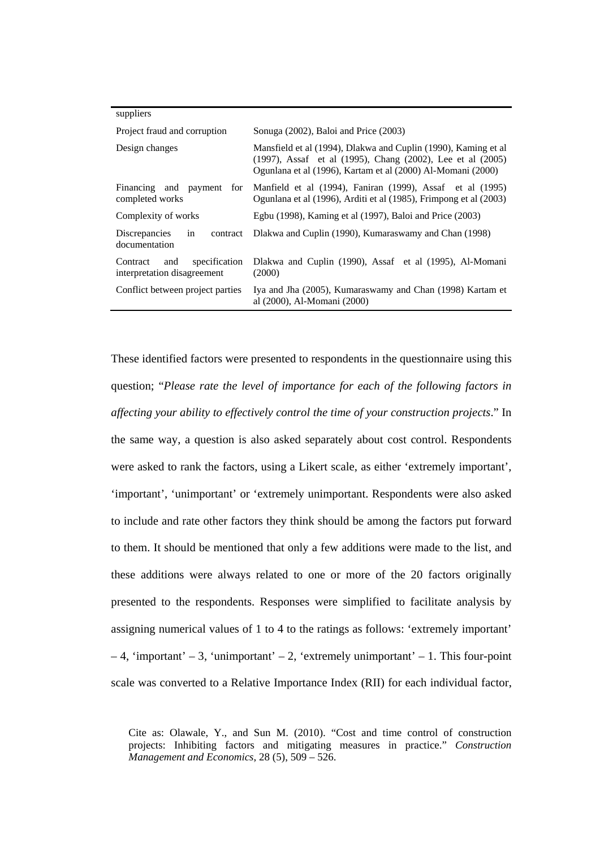| suppliers                                                                                                                                                                                                     |                                                                                                                                |  |
|---------------------------------------------------------------------------------------------------------------------------------------------------------------------------------------------------------------|--------------------------------------------------------------------------------------------------------------------------------|--|
| Project fraud and corruption                                                                                                                                                                                  | Sonuga (2002), Baloi and Price (2003)                                                                                          |  |
| Mansfield et al (1994), Dlakwa and Cuplin (1990), Kaming et al<br>Design changes<br>(1997), Assaf et al (1995), Chang (2002), Lee et al (2005)<br>Ogunlana et al (1996), Kartam et al (2000) Al-Momani (2000) |                                                                                                                                |  |
| Financing and payment for<br>completed works                                                                                                                                                                  | Manfield et al (1994), Faniran (1999), Assaf et al (1995)<br>Ogunlana et al (1996), Arditi et al (1985), Frimpong et al (2003) |  |
| Complexity of works                                                                                                                                                                                           | Egbu (1998), Kaming et al (1997), Baloi and Price (2003)                                                                       |  |
| Discrepancies<br>in<br>contract<br>documentation                                                                                                                                                              | Dlakwa and Cuplin (1990), Kumaraswamy and Chan (1998)                                                                          |  |
| specification<br>Contract<br>and<br>interpretation disagreement                                                                                                                                               | Dlakwa and Cuplin (1990), Assaf et al (1995), Al-Momani<br>(2000)                                                              |  |
| Conflict between project parties                                                                                                                                                                              | Iya and Jha (2005), Kumaraswamy and Chan (1998) Kartam et<br>al (2000), Al-Momani (2000)                                       |  |

These identified factors were presented to respondents in the questionnaire using this question; "*Please rate the level of importance for each of the following factors in affecting your ability to effectively control the time of your construction projects*." In the same way, a question is also asked separately about cost control. Respondents were asked to rank the factors, using a Likert scale, as either 'extremely important', 'important', 'unimportant' or 'extremely unimportant. Respondents were also asked to include and rate other factors they think should be among the factors put forward to them. It should be mentioned that only a few additions were made to the list, and these additions were always related to one or more of the 20 factors originally presented to the respondents. Responses were simplified to facilitate analysis by assigning numerical values of 1 to 4 to the ratings as follows: 'extremely important'  $-4$ , 'important' – 3, 'unimportant' – 2, 'extremely unimportant' – 1. This four-point scale was converted to a Relative Importance Index (RII) for each individual factor,

Cite as: Olawale, Y., and Sun M. (2010). "Cost and time control of construction projects: Inhibiting factors and mitigating measures in practice." *Construction Management and Economics*, 28 (5), 509 – 526.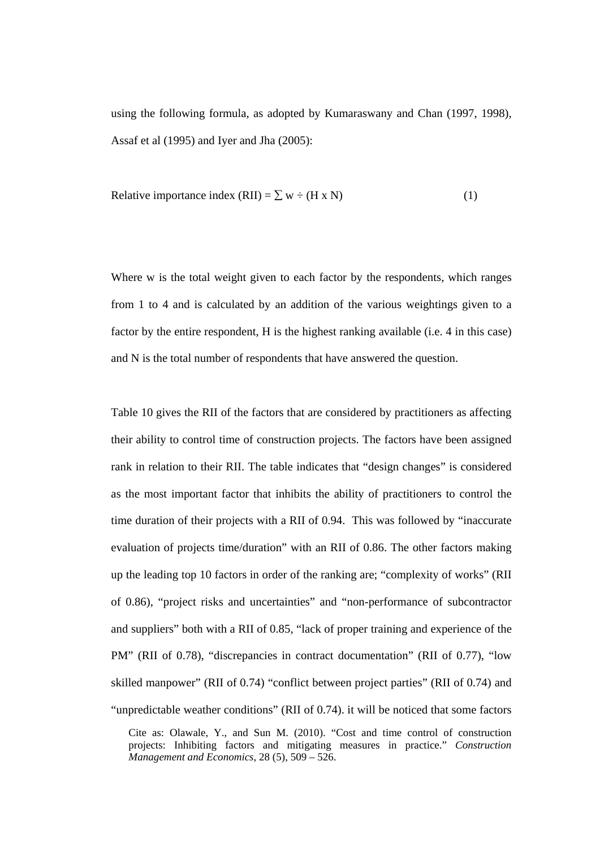using the following formula, as adopted by Kumaraswany and Chan (1997, 1998), Assaf et al (1995) and Iyer and Jha (2005):

Relative importance index (RII) = 
$$
\sum w \div (H \times N)
$$
 (1)

Where w is the total weight given to each factor by the respondents, which ranges from 1 to 4 and is calculated by an addition of the various weightings given to a factor by the entire respondent, H is the highest ranking available (i.e. 4 in this case) and N is the total number of respondents that have answered the question.

Table 10 gives the RII of the factors that are considered by practitioners as affecting their ability to control time of construction projects. The factors have been assigned rank in relation to their RII. The table indicates that "design changes" is considered as the most important factor that inhibits the ability of practitioners to control the time duration of their projects with a RII of 0.94. This was followed by "inaccurate evaluation of projects time/duration" with an RII of 0.86. The other factors making up the leading top 10 factors in order of the ranking are; "complexity of works" (RII of 0.86), "project risks and uncertainties" and "non-performance of subcontractor and suppliers" both with a RII of 0.85, "lack of proper training and experience of the PM" (RII of 0.78), "discrepancies in contract documentation" (RII of 0.77), "low skilled manpower" (RII of 0.74) "conflict between project parties" (RII of 0.74) and "unpredictable weather conditions" (RII of 0.74). it will be noticed that some factors

Cite as: Olawale, Y., and Sun M. (2010). "Cost and time control of construction projects: Inhibiting factors and mitigating measures in practice." *Construction Management and Economics*, 28 (5), 509 – 526.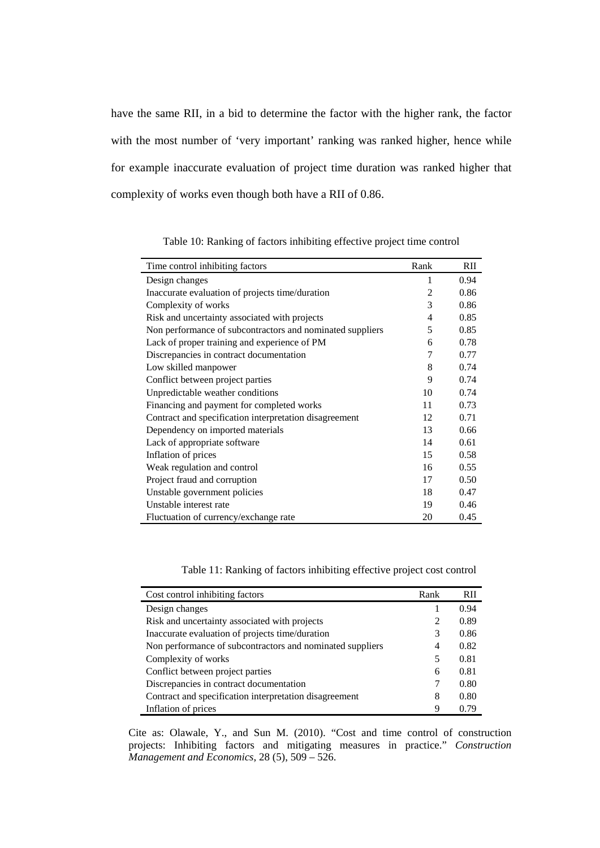have the same RII, in a bid to determine the factor with the higher rank, the factor with the most number of 'very important' ranking was ranked higher, hence while for example inaccurate evaluation of project time duration was ranked higher that complexity of works even though both have a RII of 0.86.

| Time control inhibiting factors                           | Rank           | RII  |
|-----------------------------------------------------------|----------------|------|
| Design changes                                            | 1              | 0.94 |
| Inaccurate evaluation of projects time/duration           | $\mathfrak{D}$ | 0.86 |
| Complexity of works                                       | 3              | 0.86 |
| Risk and uncertainty associated with projects             | 4              | 0.85 |
| Non performance of subcontractors and nominated suppliers | 5              | 0.85 |
| Lack of proper training and experience of PM              | 6              | 0.78 |
| Discrepancies in contract documentation                   | 7              | 0.77 |
| Low skilled manpower                                      | 8              | 0.74 |
| Conflict between project parties                          | 9              | 0.74 |
| Unpredictable weather conditions                          | 10             | 0.74 |
| Financing and payment for completed works                 | 11             | 0.73 |
| Contract and specification interpretation disagreement    | 12             | 0.71 |
| Dependency on imported materials                          | 13             | 0.66 |
| Lack of appropriate software                              | 14             | 0.61 |
| Inflation of prices                                       | 15             | 0.58 |
| Weak regulation and control                               | 16             | 0.55 |
| Project fraud and corruption                              | 17             | 0.50 |
| Unstable government policies                              | 18             | 0.47 |
| Unstable interest rate                                    | 19             | 0.46 |
| Fluctuation of currency/exchange rate                     | 20             | 0.45 |

Table 10: Ranking of factors inhibiting effective project time control

Table 11: Ranking of factors inhibiting effective project cost control

| Cost control inhibiting factors                           | Rank | <b>RII</b> |
|-----------------------------------------------------------|------|------------|
| Design changes                                            |      | 0.94       |
| Risk and uncertainty associated with projects             | 2    | 0.89       |
| Inaccurate evaluation of projects time/duration           | 3    | 0.86       |
| Non performance of subcontractors and nominated suppliers | 4    | 0.82       |
| Complexity of works                                       | 5    | 0.81       |
| Conflict between project parties                          | 6    | 0.81       |
| Discrepancies in contract documentation                   |      | 0.80       |
| Contract and specification interpretation disagreement    | 8    | 0.80       |
| Inflation of prices                                       | Q    | 0.79       |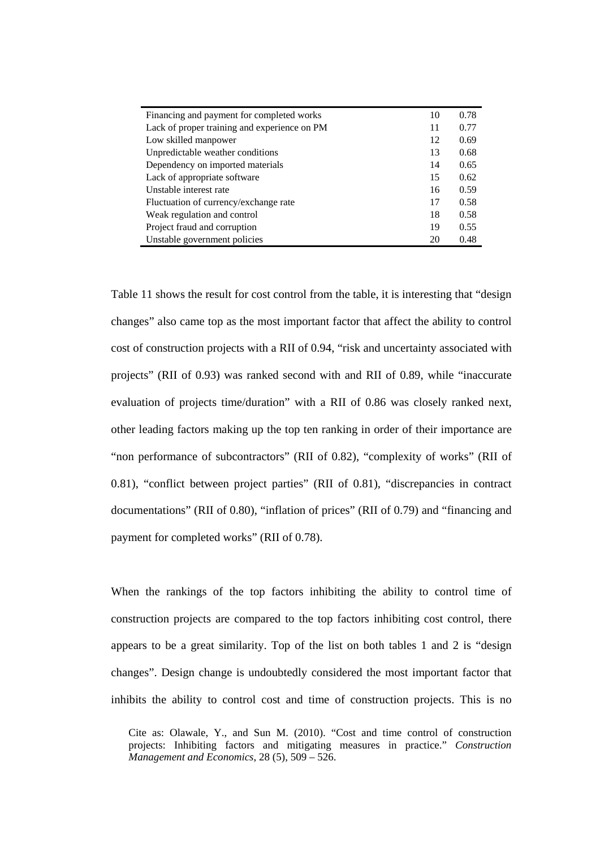| Financing and payment for completed works    | 10 | 0.78 |
|----------------------------------------------|----|------|
| Lack of proper training and experience on PM | 11 | 0.77 |
| Low skilled manpower                         | 12 | 0.69 |
| Unpredictable weather conditions             | 13 | 0.68 |
| Dependency on imported materials             | 14 | 0.65 |
| Lack of appropriate software                 | 15 | 0.62 |
| Unstable interest rate                       | 16 | 0.59 |
| Fluctuation of currency/exchange rate        | 17 | 0.58 |
| Weak regulation and control                  | 18 | 0.58 |
| Project fraud and corruption                 | 19 | 0.55 |
| Unstable government policies                 | 20 | 0.48 |

Table 11 shows the result for cost control from the table, it is interesting that "design changes" also came top as the most important factor that affect the ability to control cost of construction projects with a RII of 0.94, "risk and uncertainty associated with projects" (RII of 0.93) was ranked second with and RII of 0.89, while "inaccurate evaluation of projects time/duration" with a RII of 0.86 was closely ranked next, other leading factors making up the top ten ranking in order of their importance are "non performance of subcontractors" (RII of 0.82), "complexity of works" (RII of 0.81), "conflict between project parties" (RII of 0.81), "discrepancies in contract documentations" (RII of 0.80), "inflation of prices" (RII of 0.79) and "financing and payment for completed works" (RII of 0.78).

When the rankings of the top factors inhibiting the ability to control time of construction projects are compared to the top factors inhibiting cost control, there appears to be a great similarity. Top of the list on both tables 1 and 2 is "design changes". Design change is undoubtedly considered the most important factor that inhibits the ability to control cost and time of construction projects. This is no

Cite as: Olawale, Y., and Sun M. (2010). "Cost and time control of construction projects: Inhibiting factors and mitigating measures in practice." *Construction Management and Economics*, 28 (5), 509 – 526.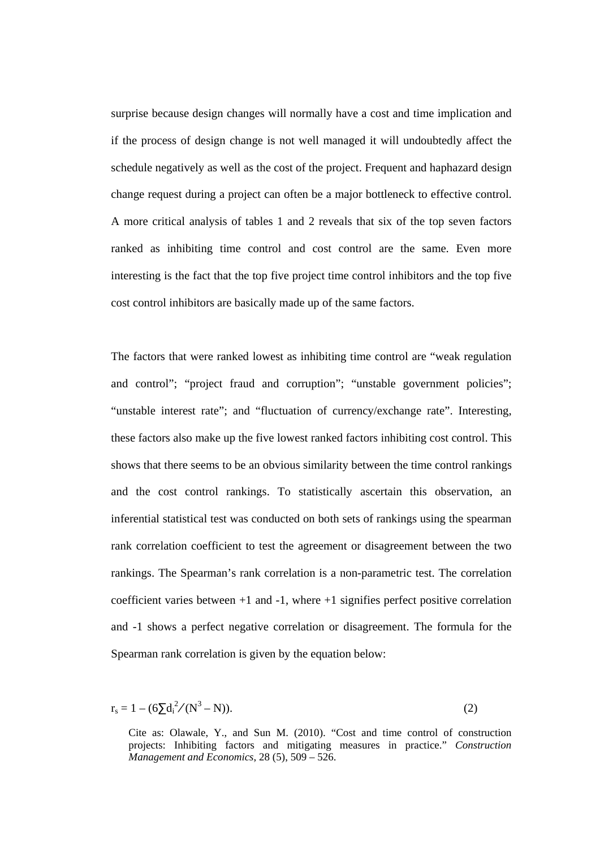surprise because design changes will normally have a cost and time implication and if the process of design change is not well managed it will undoubtedly affect the schedule negatively as well as the cost of the project. Frequent and haphazard design change request during a project can often be a major bottleneck to effective control. A more critical analysis of tables 1 and 2 reveals that six of the top seven factors ranked as inhibiting time control and cost control are the same. Even more interesting is the fact that the top five project time control inhibitors and the top five cost control inhibitors are basically made up of the same factors.

The factors that were ranked lowest as inhibiting time control are "weak regulation and control"; "project fraud and corruption"; "unstable government policies"; "unstable interest rate"; and "fluctuation of currency/exchange rate". Interesting, these factors also make up the five lowest ranked factors inhibiting cost control. This shows that there seems to be an obvious similarity between the time control rankings and the cost control rankings. To statistically ascertain this observation, an inferential statistical test was conducted on both sets of rankings using the spearman rank correlation coefficient to test the agreement or disagreement between the two rankings. The Spearman's rank correlation is a non-parametric test. The correlation coefficient varies between +1 and -1, where +1 signifies perfect positive correlation and -1 shows a perfect negative correlation or disagreement. The formula for the Spearman rank correlation is given by the equation below:

$$
r_s = 1 - (6\sum d_i^2 / (N^3 - N)).
$$
 (2)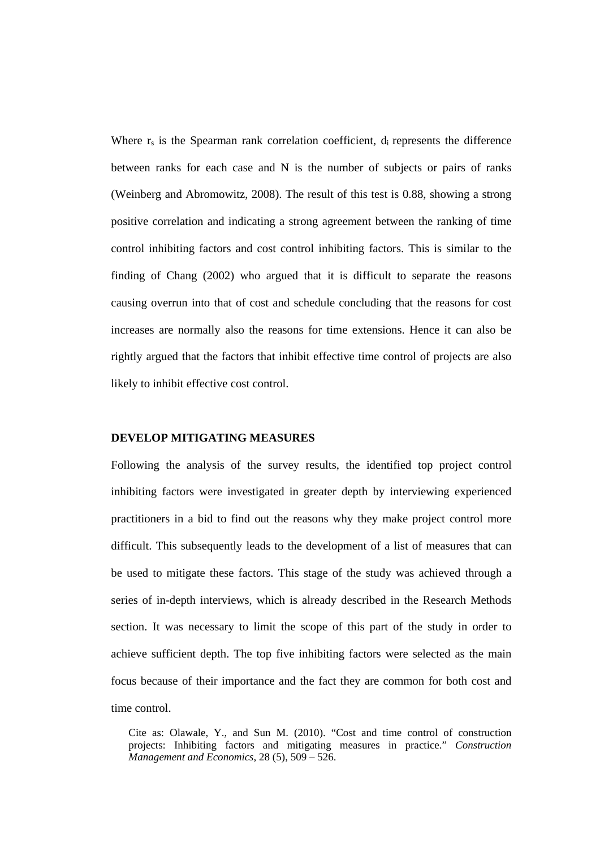Where  $r_s$  is the Spearman rank correlation coefficient,  $d_i$  represents the difference between ranks for each case and N is the number of subjects or pairs of ranks (Weinberg and Abromowitz, 2008). The result of this test is 0.88, showing a strong positive correlation and indicating a strong agreement between the ranking of time control inhibiting factors and cost control inhibiting factors. This is similar to the finding of Chang (2002) who argued that it is difficult to separate the reasons causing overrun into that of cost and schedule concluding that the reasons for cost increases are normally also the reasons for time extensions. Hence it can also be rightly argued that the factors that inhibit effective time control of projects are also likely to inhibit effective cost control.

## **DEVELOP MITIGATING MEASURES**

Following the analysis of the survey results, the identified top project control inhibiting factors were investigated in greater depth by interviewing experienced practitioners in a bid to find out the reasons why they make project control more difficult. This subsequently leads to the development of a list of measures that can be used to mitigate these factors. This stage of the study was achieved through a series of in-depth interviews, which is already described in the Research Methods section. It was necessary to limit the scope of this part of the study in order to achieve sufficient depth. The top five inhibiting factors were selected as the main focus because of their importance and the fact they are common for both cost and time control.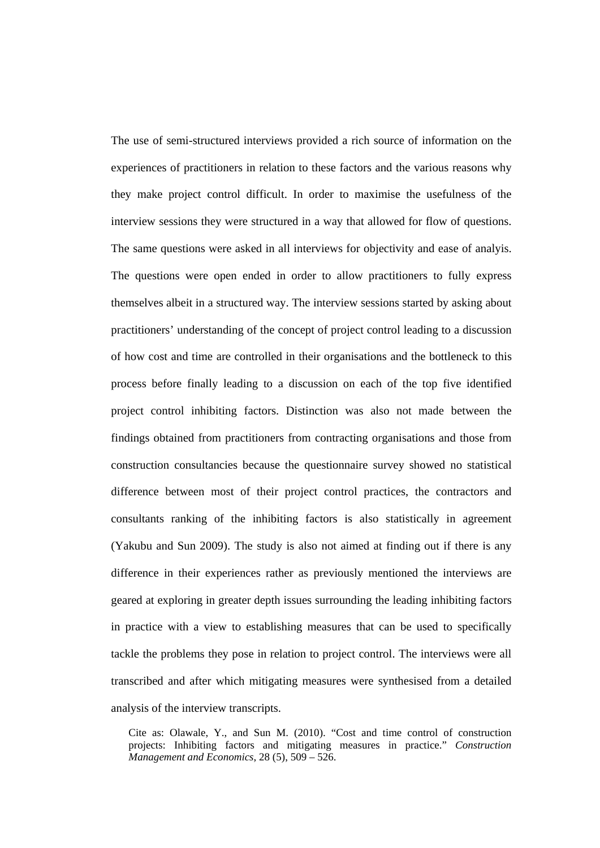The use of semi-structured interviews provided a rich source of information on the experiences of practitioners in relation to these factors and the various reasons why they make project control difficult. In order to maximise the usefulness of the interview sessions they were structured in a way that allowed for flow of questions. The same questions were asked in all interviews for objectivity and ease of analyis. The questions were open ended in order to allow practitioners to fully express themselves albeit in a structured way. The interview sessions started by asking about practitioners' understanding of the concept of project control leading to a discussion of how cost and time are controlled in their organisations and the bottleneck to this process before finally leading to a discussion on each of the top five identified project control inhibiting factors. Distinction was also not made between the findings obtained from practitioners from contracting organisations and those from construction consultancies because the questionnaire survey showed no statistical difference between most of their project control practices, the contractors and consultants ranking of the inhibiting factors is also statistically in agreement (Yakubu and Sun 2009). The study is also not aimed at finding out if there is any difference in their experiences rather as previously mentioned the interviews are geared at exploring in greater depth issues surrounding the leading inhibiting factors in practice with a view to establishing measures that can be used to specifically tackle the problems they pose in relation to project control. The interviews were all transcribed and after which mitigating measures were synthesised from a detailed analysis of the interview transcripts.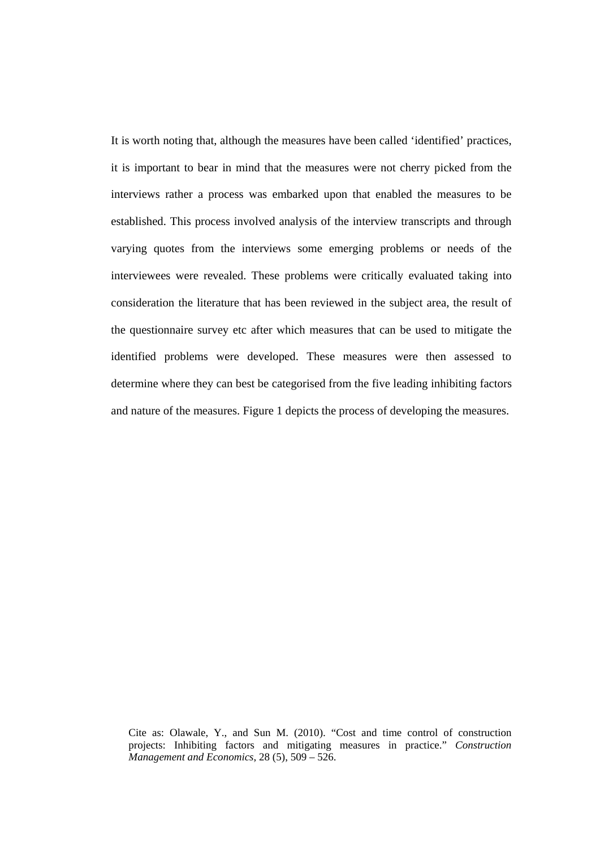It is worth noting that, although the measures have been called 'identified' practices, it is important to bear in mind that the measures were not cherry picked from the interviews rather a process was embarked upon that enabled the measures to be established. This process involved analysis of the interview transcripts and through varying quotes from the interviews some emerging problems or needs of the interviewees were revealed. These problems were critically evaluated taking into consideration the literature that has been reviewed in the subject area, the result of the questionnaire survey etc after which measures that can be used to mitigate the identified problems were developed. These measures were then assessed to determine where they can best be categorised from the five leading inhibiting factors and nature of the measures. Figure 1 depicts the process of developing the measures.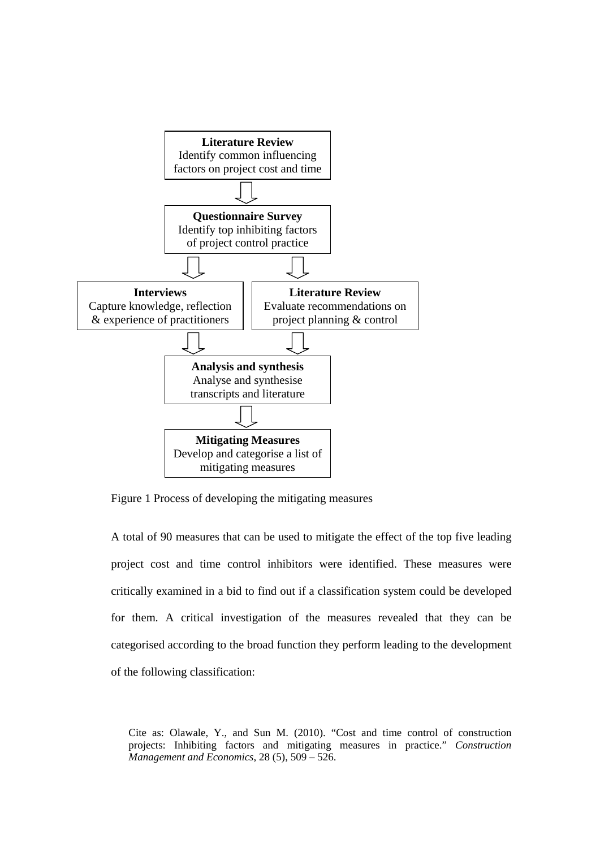

Figure 1 Process of developing the mitigating measures

A total of 90 measures that can be used to mitigate the effect of the top five leading project cost and time control inhibitors were identified. These measures were critically examined in a bid to find out if a classification system could be developed for them. A critical investigation of the measures revealed that they can be categorised according to the broad function they perform leading to the development of the following classification: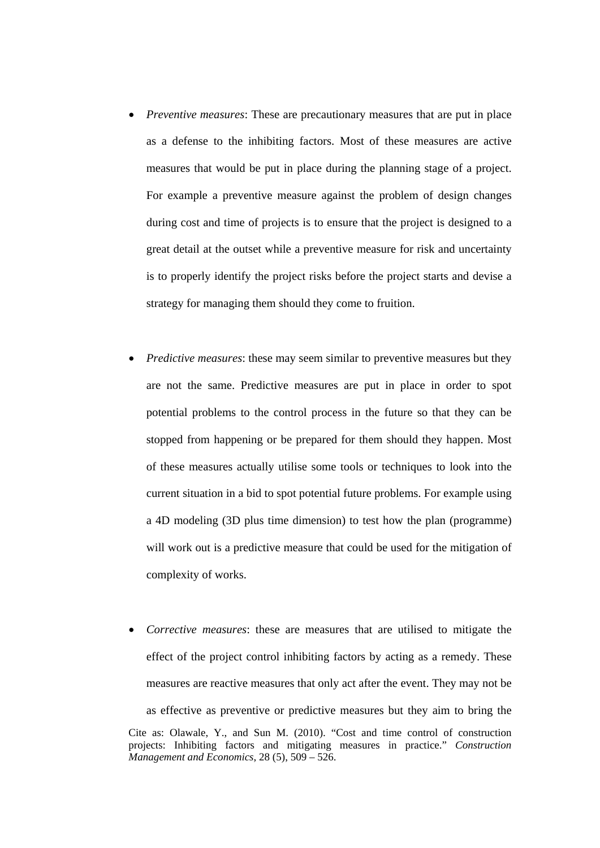- *Preventive measures*: These are precautionary measures that are put in place as a defense to the inhibiting factors. Most of these measures are active measures that would be put in place during the planning stage of a project. For example a preventive measure against the problem of design changes during cost and time of projects is to ensure that the project is designed to a great detail at the outset while a preventive measure for risk and uncertainty is to properly identify the project risks before the project starts and devise a strategy for managing them should they come to fruition.
- *Predictive measures*: these may seem similar to preventive measures but they are not the same. Predictive measures are put in place in order to spot potential problems to the control process in the future so that they can be stopped from happening or be prepared for them should they happen. Most of these measures actually utilise some tools or techniques to look into the current situation in a bid to spot potential future problems. For example using a 4D modeling (3D plus time dimension) to test how the plan (programme) will work out is a predictive measure that could be used for the mitigation of complexity of works.
- Cite as: Olawale, Y., and Sun M. (2010). "Cost and time control of construction projects: Inhibiting factors and mitigating measures in practice." *Construction Management and Economics*, 28 (5), 509 – 526. *Corrective measures*: these are measures that are utilised to mitigate the effect of the project control inhibiting factors by acting as a remedy. These measures are reactive measures that only act after the event. They may not be as effective as preventive or predictive measures but they aim to bring the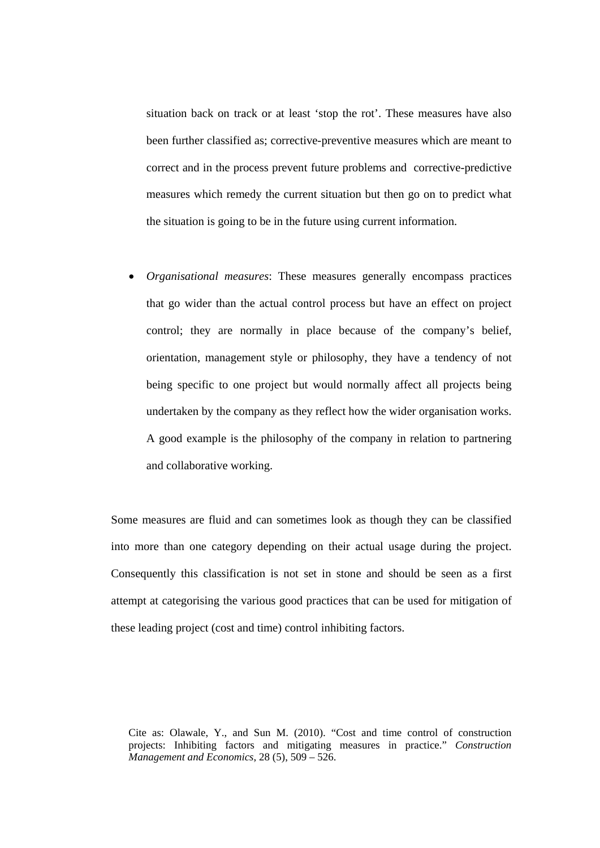situation back on track or at least 'stop the rot'. These measures have also been further classified as; corrective-preventive measures which are meant to correct and in the process prevent future problems and corrective-predictive measures which remedy the current situation but then go on to predict what the situation is going to be in the future using current information.

 *Organisational measures*: These measures generally encompass practices that go wider than the actual control process but have an effect on project control; they are normally in place because of the company's belief, orientation, management style or philosophy, they have a tendency of not being specific to one project but would normally affect all projects being undertaken by the company as they reflect how the wider organisation works. A good example is the philosophy of the company in relation to partnering and collaborative working.

Some measures are fluid and can sometimes look as though they can be classified into more than one category depending on their actual usage during the project. Consequently this classification is not set in stone and should be seen as a first attempt at categorising the various good practices that can be used for mitigation of these leading project (cost and time) control inhibiting factors.

Cite as: Olawale, Y., and Sun M. (2010). "Cost and time control of construction projects: Inhibiting factors and mitigating measures in practice." *Construction Management and Economics*, 28 (5), 509 – 526.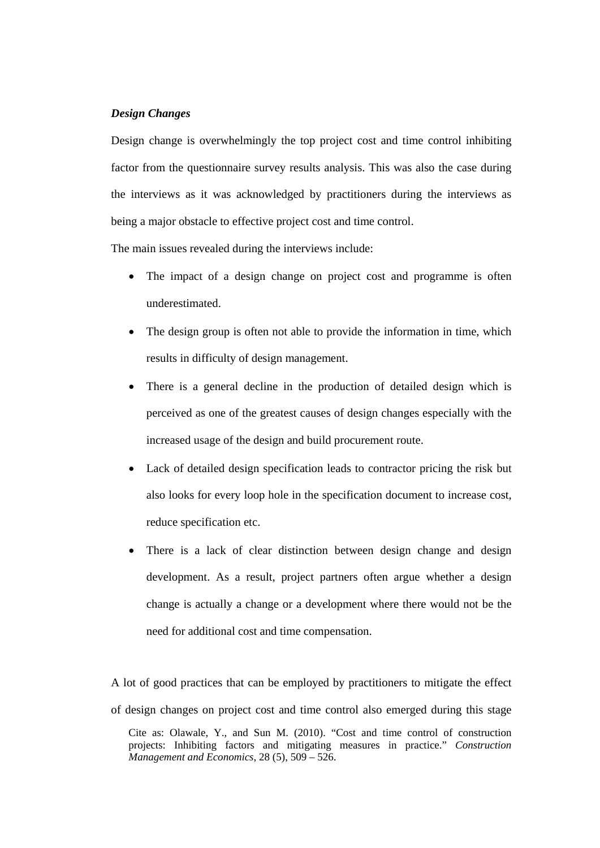## *Design Changes*

Design change is overwhelmingly the top project cost and time control inhibiting factor from the questionnaire survey results analysis. This was also the case during the interviews as it was acknowledged by practitioners during the interviews as being a major obstacle to effective project cost and time control.

The main issues revealed during the interviews include:

- The impact of a design change on project cost and programme is often underestimated.
- The design group is often not able to provide the information in time, which results in difficulty of design management.
- There is a general decline in the production of detailed design which is perceived as one of the greatest causes of design changes especially with the increased usage of the design and build procurement route.
- Lack of detailed design specification leads to contractor pricing the risk but also looks for every loop hole in the specification document to increase cost, reduce specification etc.
- There is a lack of clear distinction between design change and design development. As a result, project partners often argue whether a design change is actually a change or a development where there would not be the need for additional cost and time compensation.

Cite as: Olawale, Y., and Sun M. (2010). "Cost and time control of construction projects: Inhibiting factors and mitigating measures in practice." *Construction Management and Economics*, 28 (5), 509 – 526. A lot of good practices that can be employed by practitioners to mitigate the effect of design changes on project cost and time control also emerged during this stage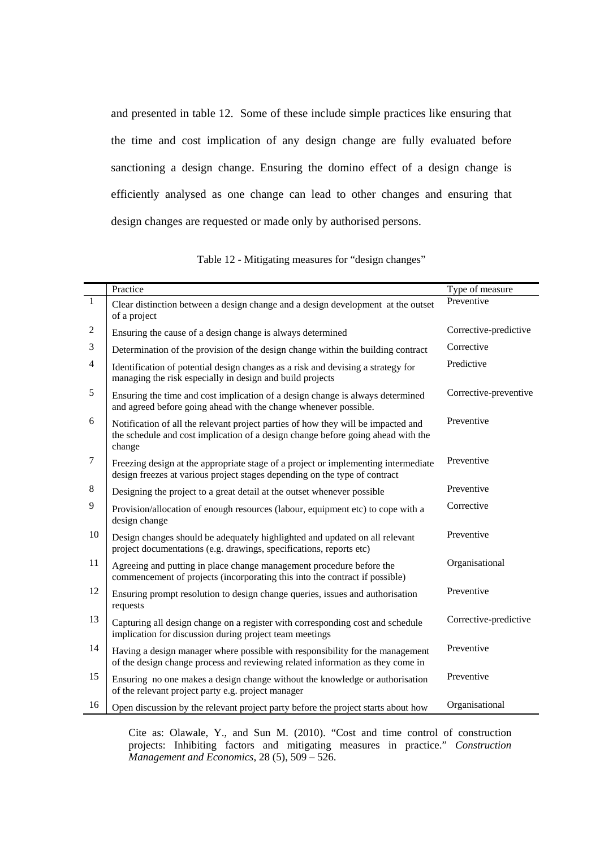and presented in table 12. Some of these include simple practices like ensuring that the time and cost implication of any design change are fully evaluated before sanctioning a design change. Ensuring the domino effect of a design change is efficiently analysed as one change can lead to other changes and ensuring that design changes are requested or made only by authorised persons.

| Table 12 - Mitigating measures for "design changes" |  |
|-----------------------------------------------------|--|
|-----------------------------------------------------|--|

|                  | Practice                                                                                                                                                                        | Type of measure       |
|------------------|---------------------------------------------------------------------------------------------------------------------------------------------------------------------------------|-----------------------|
| $\mathbf{1}$     | Clear distinction between a design change and a design development at the outset<br>of a project                                                                                | Preventive            |
| $\overline{c}$   | Ensuring the cause of a design change is always determined                                                                                                                      | Corrective-predictive |
| 3                | Determination of the provision of the design change within the building contract                                                                                                | Corrective            |
| $\overline{4}$   | Identification of potential design changes as a risk and devising a strategy for<br>managing the risk especially in design and build projects                                   | Predictive            |
| 5                | Ensuring the time and cost implication of a design change is always determined<br>and agreed before going ahead with the change whenever possible.                              | Corrective-preventive |
| 6                | Notification of all the relevant project parties of how they will be impacted and<br>the schedule and cost implication of a design change before going ahead with the<br>change | Preventive            |
| $\boldsymbol{7}$ | Freezing design at the appropriate stage of a project or implementing intermediate<br>design freezes at various project stages depending on the type of contract                | Preventive            |
| $8\,$            | Designing the project to a great detail at the outset whenever possible                                                                                                         | Preventive            |
| 9                | Provision/allocation of enough resources (labour, equipment etc) to cope with a<br>design change                                                                                | Corrective            |
| 10               | Design changes should be adequately highlighted and updated on all relevant<br>project documentations (e.g. drawings, specifications, reports etc)                              | Preventive            |
| 11               | Agreeing and putting in place change management procedure before the<br>commencement of projects (incorporating this into the contract if possible)                             | Organisational        |
| 12               | Ensuring prompt resolution to design change queries, issues and authorisation<br>requests                                                                                       | Preventive            |
| 13               | Capturing all design change on a register with corresponding cost and schedule<br>implication for discussion during project team meetings                                       | Corrective-predictive |
| 14               | Having a design manager where possible with responsibility for the management<br>of the design change process and reviewing related information as they come in                 | Preventive            |
| 15               | Ensuring no one makes a design change without the knowledge or authorisation<br>of the relevant project party e.g. project manager                                              | Preventive            |
| 16               | Open discussion by the relevant project party before the project starts about how                                                                                               | Organisational        |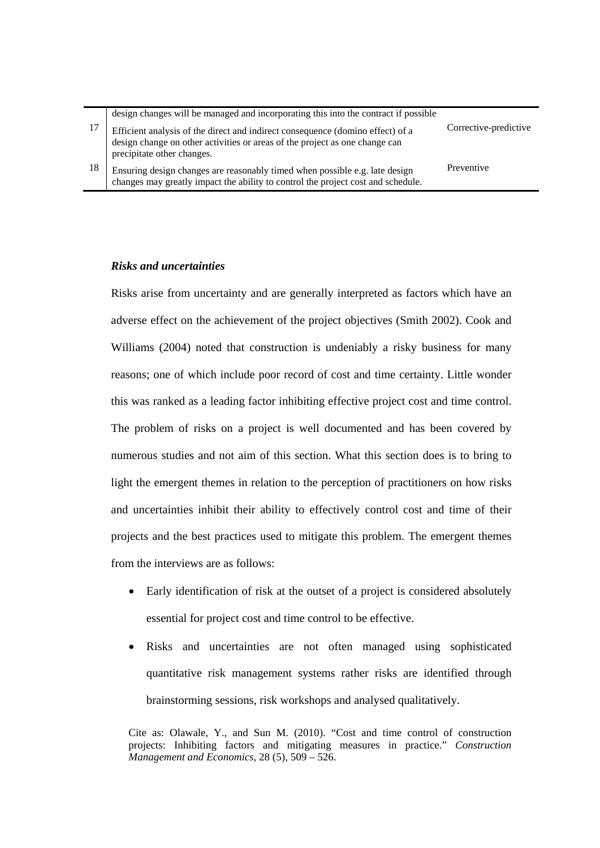|    | design changes will be managed and incorporating this into the contract if possible                                                                                                         |                       |
|----|---------------------------------------------------------------------------------------------------------------------------------------------------------------------------------------------|-----------------------|
| 17 | Efficient analysis of the direct and indirect consequence (domino effect) of a<br>design change on other activities or areas of the project as one change can<br>precipitate other changes. | Corrective-predictive |
| 18 | Ensuring design changes are reasonably timed when possible e.g. late design<br>changes may greatly impact the ability to control the project cost and schedule.                             | Preventive            |

## *Risks and uncertainties*

Risks arise from uncertainty and are generally interpreted as factors which have an adverse effect on the achievement of the project objectives (Smith 2002). Cook and Williams (2004) noted that construction is undeniably a risky business for many reasons; one of which include poor record of cost and time certainty. Little wonder this was ranked as a leading factor inhibiting effective project cost and time control. The problem of risks on a project is well documented and has been covered by numerous studies and not aim of this section. What this section does is to bring to light the emergent themes in relation to the perception of practitioners on how risks and uncertainties inhibit their ability to effectively control cost and time of their projects and the best practices used to mitigate this problem. The emergent themes from the interviews are as follows:

- Early identification of risk at the outset of a project is considered absolutely essential for project cost and time control to be effective.
- Risks and uncertainties are not often managed using sophisticated quantitative risk management systems rather risks are identified through brainstorming sessions, risk workshops and analysed qualitatively.

Cite as: Olawale, Y., and Sun M. (2010). "Cost and time control of construction projects: Inhibiting factors and mitigating measures in practice." *Construction Management and Economics*, 28 (5), 509 – 526.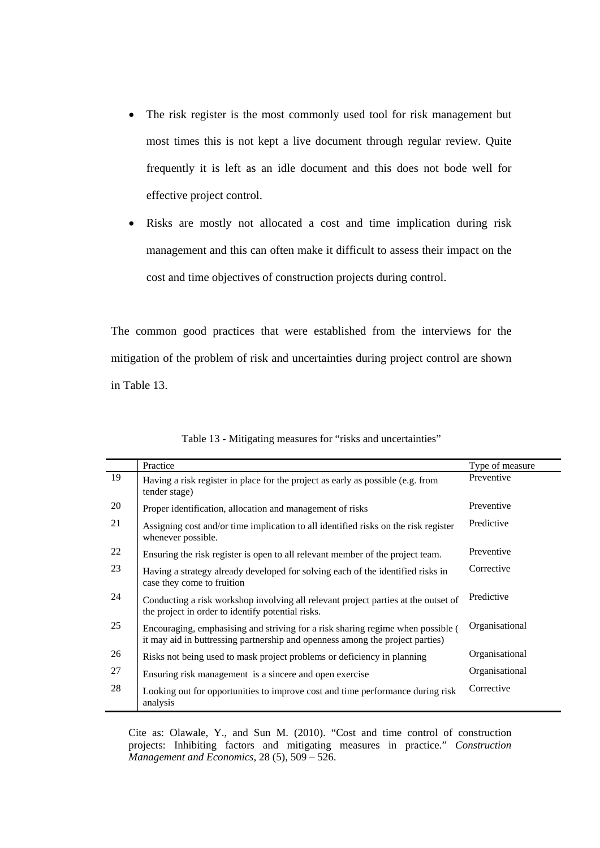- The risk register is the most commonly used tool for risk management but most times this is not kept a live document through regular review. Quite frequently it is left as an idle document and this does not bode well for effective project control.
- Risks are mostly not allocated a cost and time implication during risk management and this can often make it difficult to assess their impact on the cost and time objectives of construction projects during control.

The common good practices that were established from the interviews for the mitigation of the problem of risk and uncertainties during project control are shown in Table 13.

|    | Practice                                                                                                                                                         | Type of measure |
|----|------------------------------------------------------------------------------------------------------------------------------------------------------------------|-----------------|
| 19 | Having a risk register in place for the project as early as possible (e.g. from<br>tender stage)                                                                 | Preventive      |
| 20 | Proper identification, allocation and management of risks                                                                                                        | Preventive      |
| 21 | Assigning cost and/or time implication to all identified risks on the risk register<br>whenever possible.                                                        | Predictive      |
| 22 | Ensuring the risk register is open to all relevant member of the project team.                                                                                   | Preventive      |
| 23 | Having a strategy already developed for solving each of the identified risks in<br>case they come to fruition                                                    | Corrective      |
| 24 | Conducting a risk workshop involving all relevant project parties at the outset of<br>the project in order to identify potential risks.                          | Predictive      |
| 25 | Encouraging, emphasising and striving for a risk sharing regime when possible (<br>it may aid in buttressing partnership and openness among the project parties) | Organisational  |
| 26 | Risks not being used to mask project problems or deficiency in planning                                                                                          | Organisational  |
| 27 | Ensuring risk management is a sincere and open exercise                                                                                                          | Organisational  |
| 28 | Looking out for opportunities to improve cost and time performance during risk<br>analysis                                                                       | Corrective      |

Table 13 - Mitigating measures for "risks and uncertainties"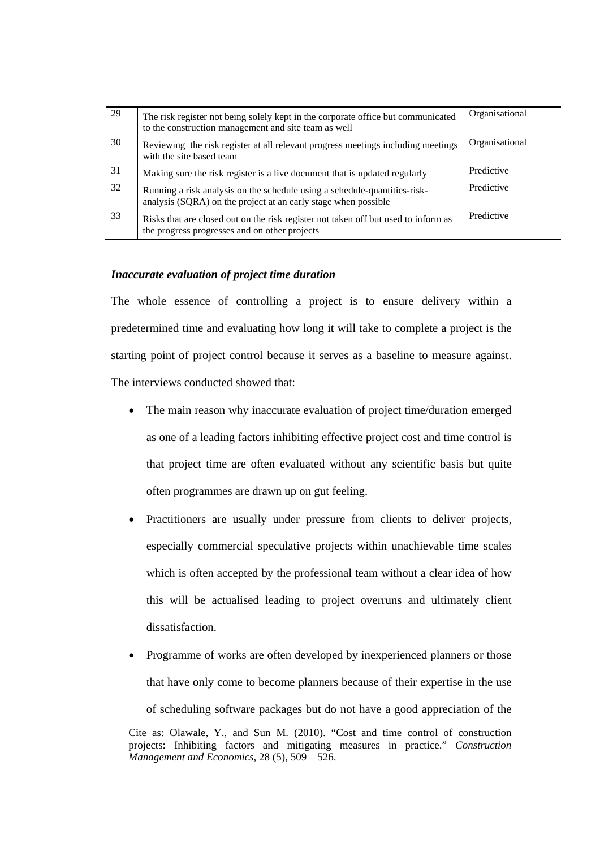| 29 | The risk register not being solely kept in the corporate office but communicated<br>to the construction management and site team as well    | Organisational |
|----|---------------------------------------------------------------------------------------------------------------------------------------------|----------------|
| 30 | Reviewing the risk register at all relevant progress meetings including meetings<br>with the site based team                                | Organisational |
| 31 | Making sure the risk register is a live document that is updated regularly                                                                  | Predictive     |
| 32 | Running a risk analysis on the schedule using a schedule-quantities-risk-<br>analysis (SQRA) on the project at an early stage when possible | Predictive     |
| 33 | Risks that are closed out on the risk register not taken off but used to inform as<br>the progress progresses and on other projects         | Predictive     |

## *Inaccurate evaluation of project time duration*

The whole essence of controlling a project is to ensure delivery within a predetermined time and evaluating how long it will take to complete a project is the starting point of project control because it serves as a baseline to measure against. The interviews conducted showed that:

- The main reason why inaccurate evaluation of project time/duration emerged as one of a leading factors inhibiting effective project cost and time control is that project time are often evaluated without any scientific basis but quite often programmes are drawn up on gut feeling.
- Practitioners are usually under pressure from clients to deliver projects, especially commercial speculative projects within unachievable time scales which is often accepted by the professional team without a clear idea of how this will be actualised leading to project overruns and ultimately client dissatisfaction.
- Cite as: Olawale, Y., and Sun M. (2010). "Cost and time control of construction • Programme of works are often developed by inexperienced planners or those that have only come to become planners because of their expertise in the use of scheduling software packages but do not have a good appreciation of the

projects: Inhibiting factors and mitigating measures in practice." *Construction Management and Economics*, 28 (5), 509 – 526.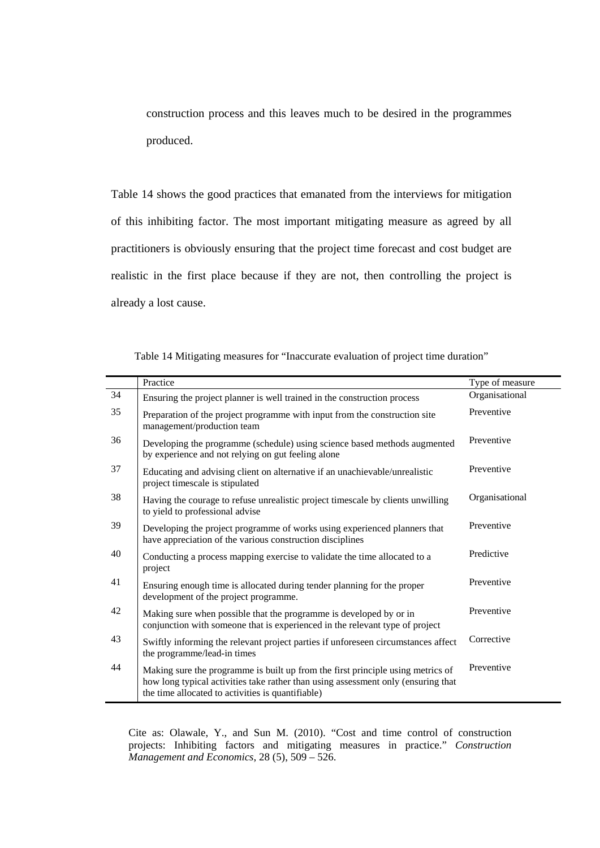construction process and this leaves much to be desired in the programmes produced.

Table 14 shows the good practices that emanated from the interviews for mitigation of this inhibiting factor. The most important mitigating measure as agreed by all practitioners is obviously ensuring that the project time forecast and cost budget are realistic in the first place because if they are not, then controlling the project is already a lost cause.

|    | Practice                                                                                                                                                                                                                  | Type of measure |
|----|---------------------------------------------------------------------------------------------------------------------------------------------------------------------------------------------------------------------------|-----------------|
| 34 | Ensuring the project planner is well trained in the construction process                                                                                                                                                  | Organisational  |
| 35 | Preparation of the project programme with input from the construction site<br>management/production team                                                                                                                  | Preventive      |
| 36 | Developing the programme (schedule) using science based methods augmented<br>by experience and not relying on gut feeling alone                                                                                           | Preventive      |
| 37 | Educating and advising client on alternative if an unachievable/unrealistic<br>project timescale is stipulated                                                                                                            | Preventive      |
| 38 | Having the courage to refuse unrealistic project timescale by clients unwilling<br>to yield to professional advise                                                                                                        | Organisational  |
| 39 | Developing the project programme of works using experienced planners that<br>have appreciation of the various construction disciplines                                                                                    | Preventive      |
| 40 | Conducting a process mapping exercise to validate the time allocated to a<br>project                                                                                                                                      | Predictive      |
| 41 | Ensuring enough time is allocated during tender planning for the proper<br>development of the project programme.                                                                                                          | Preventive      |
| 42 | Making sure when possible that the programme is developed by or in<br>conjunction with someone that is experienced in the relevant type of project                                                                        | Preventive      |
| 43 | Swiftly informing the relevant project parties if unforeseen circumstances affect<br>the programme/lead-in times                                                                                                          | Corrective      |
| 44 | Making sure the programme is built up from the first principle using metrics of<br>how long typical activities take rather than using assessment only (ensuring that<br>the time allocated to activities is quantifiable) | Preventive      |

Table 14 Mitigating measures for "Inaccurate evaluation of project time duration"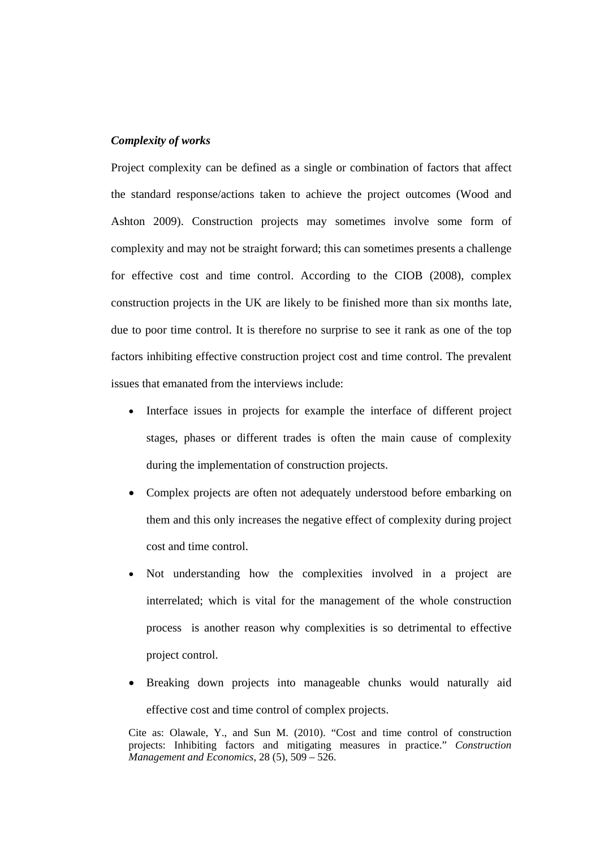# *Complexity of works*

Project complexity can be defined as a single or combination of factors that affect the standard response/actions taken to achieve the project outcomes (Wood and Ashton 2009). Construction projects may sometimes involve some form of complexity and may not be straight forward; this can sometimes presents a challenge for effective cost and time control. According to the CIOB (2008), complex construction projects in the UK are likely to be finished more than six months late, due to poor time control. It is therefore no surprise to see it rank as one of the top factors inhibiting effective construction project cost and time control. The prevalent issues that emanated from the interviews include:

- Interface issues in projects for example the interface of different project stages, phases or different trades is often the main cause of complexity during the implementation of construction projects.
- Complex projects are often not adequately understood before embarking on them and this only increases the negative effect of complexity during project cost and time control.
- Not understanding how the complexities involved in a project are interrelated; which is vital for the management of the whole construction process is another reason why complexities is so detrimental to effective project control.
- Breaking down projects into manageable chunks would naturally aid effective cost and time control of complex projects.

Cite as: Olawale, Y., and Sun M. (2010). "Cost and time control of construction projects: Inhibiting factors and mitigating measures in practice." *Construction Management and Economics*, 28 (5), 509 – 526.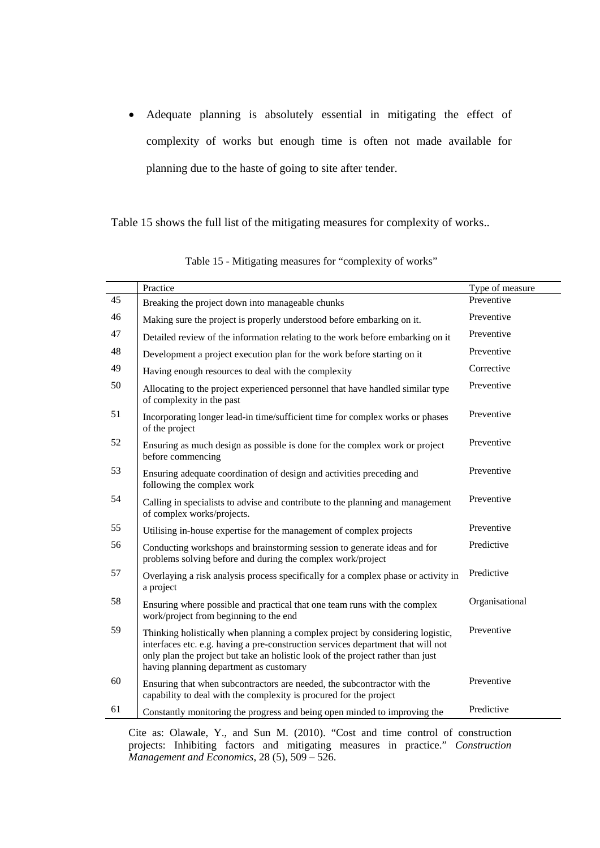Adequate planning is absolutely essential in mitigating the effect of complexity of works but enough time is often not made available for planning due to the haste of going to site after tender.

Table 15 shows the full list of the mitigating measures for complexity of works..

|    | Practice                                                                                                                                                                                                                                                                                         | Type of measure |
|----|--------------------------------------------------------------------------------------------------------------------------------------------------------------------------------------------------------------------------------------------------------------------------------------------------|-----------------|
| 45 | Breaking the project down into manageable chunks                                                                                                                                                                                                                                                 | Preventive      |
| 46 | Making sure the project is properly understood before embarking on it.                                                                                                                                                                                                                           | Preventive      |
| 47 | Detailed review of the information relating to the work before embarking on it                                                                                                                                                                                                                   | Preventive      |
| 48 | Development a project execution plan for the work before starting on it                                                                                                                                                                                                                          | Preventive      |
| 49 | Having enough resources to deal with the complexity                                                                                                                                                                                                                                              | Corrective      |
| 50 | Allocating to the project experienced personnel that have handled similar type<br>of complexity in the past                                                                                                                                                                                      | Preventive      |
| 51 | Incorporating longer lead-in time/sufficient time for complex works or phases<br>of the project                                                                                                                                                                                                  | Preventive      |
| 52 | Ensuring as much design as possible is done for the complex work or project<br>before commencing                                                                                                                                                                                                 | Preventive      |
| 53 | Ensuring adequate coordination of design and activities preceding and<br>following the complex work                                                                                                                                                                                              | Preventive      |
| 54 | Calling in specialists to advise and contribute to the planning and management<br>of complex works/projects.                                                                                                                                                                                     | Preventive      |
| 55 | Utilising in-house expertise for the management of complex projects                                                                                                                                                                                                                              | Preventive      |
| 56 | Conducting workshops and brainstorming session to generate ideas and for<br>problems solving before and during the complex work/project                                                                                                                                                          | Predictive      |
| 57 | Overlaying a risk analysis process specifically for a complex phase or activity in<br>a project                                                                                                                                                                                                  | Predictive      |
| 58 | Ensuring where possible and practical that one team runs with the complex<br>work/project from beginning to the end                                                                                                                                                                              | Organisational  |
| 59 | Thinking holistically when planning a complex project by considering logistic,<br>interfaces etc. e.g. having a pre-construction services department that will not<br>only plan the project but take an holistic look of the project rather than just<br>having planning department as customary | Preventive      |
| 60 | Ensuring that when subcontractors are needed, the subcontractor with the<br>capability to deal with the complexity is procured for the project                                                                                                                                                   | Preventive      |
| 61 | Constantly monitoring the progress and being open minded to improving the                                                                                                                                                                                                                        | Predictive      |

Table 15 - Mitigating measures for "complexity of works"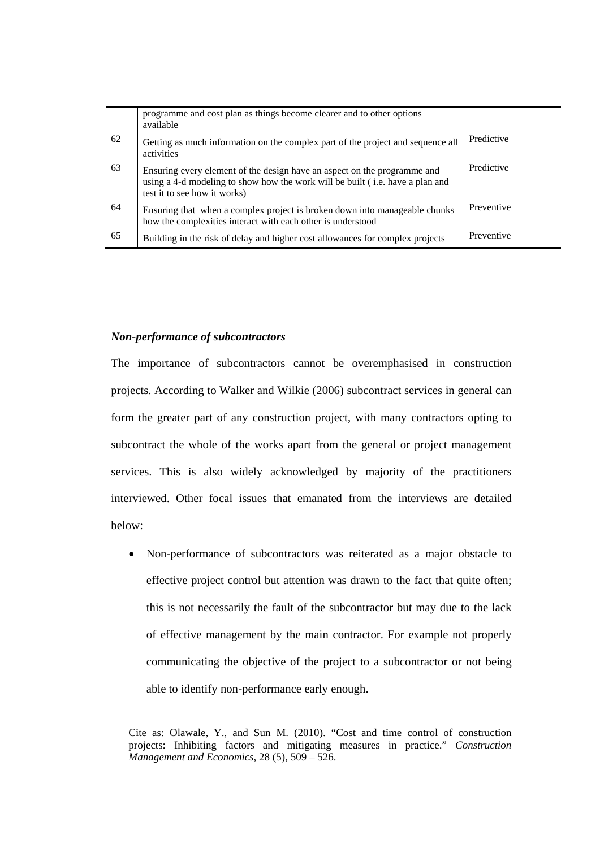|    | programme and cost plan as things become clearer and to other options<br>available                                                                                                                |            |
|----|---------------------------------------------------------------------------------------------------------------------------------------------------------------------------------------------------|------------|
| 62 | Getting as much information on the complex part of the project and sequence all<br>activities                                                                                                     | Predictive |
| 63 | Ensuring every element of the design have an aspect on the programme and<br>using a 4-d modeling to show how the work will be built ( <i>i.e.</i> have a plan and<br>test it to see how it works) | Predictive |
| 64 | Ensuring that when a complex project is broken down into manageable chunks<br>how the complexities interact with each other is understood                                                         | Preventive |
| 65 | Building in the risk of delay and higher cost allowances for complex projects                                                                                                                     | Preventive |

## *Non-performance of subcontractors*

The importance of subcontractors cannot be overemphasised in construction projects. According to Walker and Wilkie (2006) subcontract services in general can form the greater part of any construction project, with many contractors opting to subcontract the whole of the works apart from the general or project management services. This is also widely acknowledged by majority of the practitioners interviewed. Other focal issues that emanated from the interviews are detailed below:

 Non-performance of subcontractors was reiterated as a major obstacle to effective project control but attention was drawn to the fact that quite often; this is not necessarily the fault of the subcontractor but may due to the lack of effective management by the main contractor. For example not properly communicating the objective of the project to a subcontractor or not being able to identify non-performance early enough.

Cite as: Olawale, Y., and Sun M. (2010). "Cost and time control of construction projects: Inhibiting factors and mitigating measures in practice." *Construction Management and Economics*, 28 (5), 509 – 526.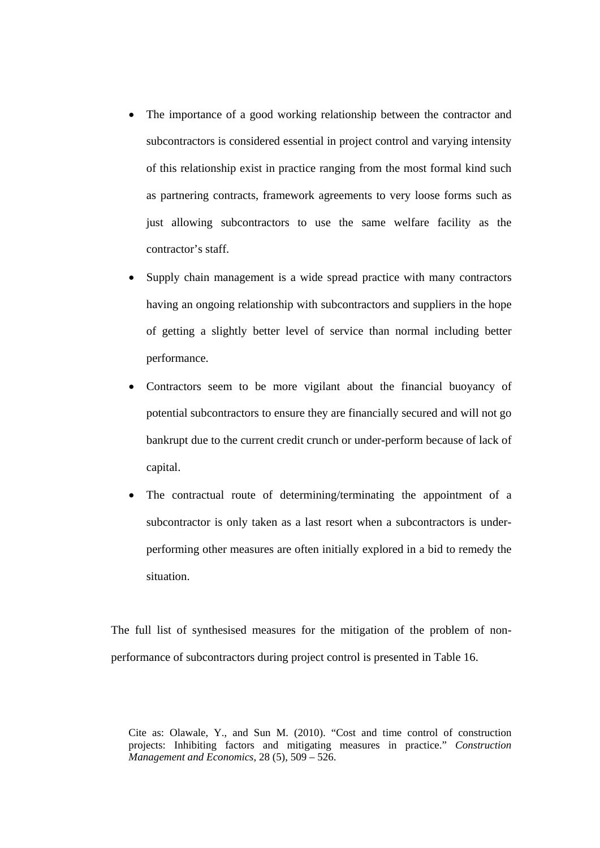- The importance of a good working relationship between the contractor and subcontractors is considered essential in project control and varying intensity of this relationship exist in practice ranging from the most formal kind such as partnering contracts, framework agreements to very loose forms such as just allowing subcontractors to use the same welfare facility as the contractor's staff.
- Supply chain management is a wide spread practice with many contractors having an ongoing relationship with subcontractors and suppliers in the hope of getting a slightly better level of service than normal including better performance.
- Contractors seem to be more vigilant about the financial buoyancy of potential subcontractors to ensure they are financially secured and will not go bankrupt due to the current credit crunch or under-perform because of lack of capital.
- The contractual route of determining/terminating the appointment of a subcontractor is only taken as a last resort when a subcontractors is underperforming other measures are often initially explored in a bid to remedy the situation.

The full list of synthesised measures for the mitigation of the problem of nonperformance of subcontractors during project control is presented in Table 16.

Cite as: Olawale, Y., and Sun M. (2010). "Cost and time control of construction projects: Inhibiting factors and mitigating measures in practice." *Construction Management and Economics*, 28 (5), 509 – 526.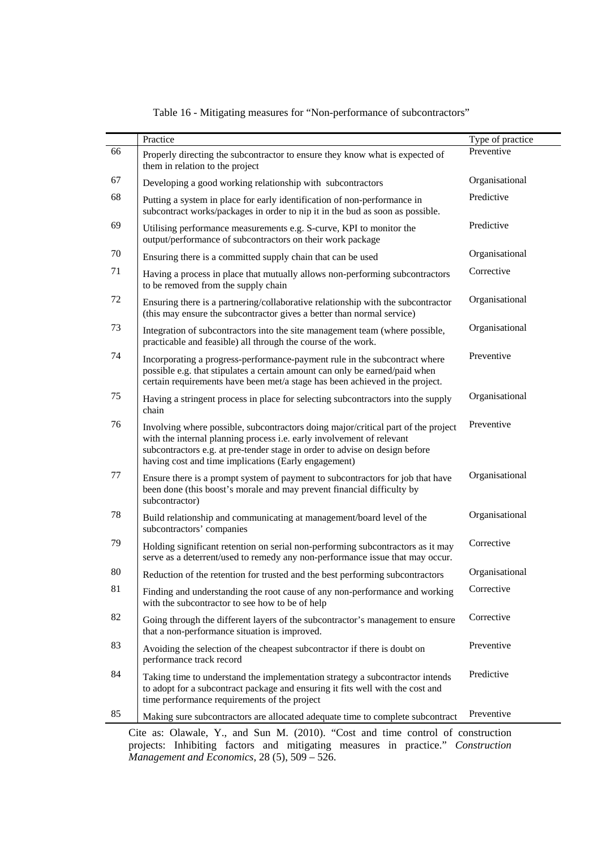| 66<br>Preventive<br>Properly directing the subcontractor to ensure they know what is expected of<br>them in relation to the project<br>67<br>Organisational<br>Developing a good working relationship with subcontractors<br>68<br>Predictive<br>Putting a system in place for early identification of non-performance in<br>subcontract works/packages in order to nip it in the bud as soon as possible.<br>69<br>Predictive<br>Utilising performance measurements e.g. S-curve, KPI to monitor the<br>output/performance of subcontractors on their work package<br>70<br>Organisational<br>Ensuring there is a committed supply chain that can be used<br>71<br>Corrective<br>Having a process in place that mutually allows non-performing subcontractors<br>to be removed from the supply chain<br>72<br>Organisational<br>Ensuring there is a partnering/collaborative relationship with the subcontractor<br>(this may ensure the subcontractor gives a better than normal service)<br>73<br>Organisational<br>Integration of subcontractors into the site management team (where possible,<br>practicable and feasible) all through the course of the work.<br>74<br>Preventive<br>Incorporating a progress-performance-payment rule in the subcontract where<br>possible e.g. that stipulates a certain amount can only be earned/paid when<br>certain requirements have been met/a stage has been achieved in the project.<br>75<br>Organisational<br>Having a stringent process in place for selecting subcontractors into the supply<br>chain<br>76<br>Preventive<br>Involving where possible, subcontractors doing major/critical part of the project<br>with the internal planning process i.e. early involvement of relevant<br>subcontractors e.g. at pre-tender stage in order to advise on design before<br>having cost and time implications (Early engagement)<br>77<br>Organisational<br>Ensure there is a prompt system of payment to subcontractors for job that have<br>been done (this boost's morale and may prevent financial difficulty by<br>subcontractor)<br>78<br>Organisational<br>Build relationship and communicating at management/board level of the<br>subcontractors' companies<br>Corrective<br>79<br>Holding significant retention on serial non-performing subcontractors as it may<br>serve as a deterrent/used to remedy any non-performance issue that may occur.<br>80<br>Organisational<br>Reduction of the retention for trusted and the best performing subcontractors<br>81<br>Corrective<br>Finding and understanding the root cause of any non-performance and working<br>with the subcontractor to see how to be of help<br>82<br>Corrective<br>Going through the different layers of the subcontractor's management to ensure<br>that a non-performance situation is improved.<br>83<br>Preventive<br>Avoiding the selection of the cheapest subcontractor if there is doubt on<br>performance track record<br>84<br>Predictive<br>Taking time to understand the implementation strategy a subcontractor intends<br>to adopt for a subcontract package and ensuring it fits well with the cost and<br>time performance requirements of the project<br>85<br>Preventive<br>Making sure subcontractors are allocated adequate time to complete subcontract | Practice | Type of practice |
|-----------------------------------------------------------------------------------------------------------------------------------------------------------------------------------------------------------------------------------------------------------------------------------------------------------------------------------------------------------------------------------------------------------------------------------------------------------------------------------------------------------------------------------------------------------------------------------------------------------------------------------------------------------------------------------------------------------------------------------------------------------------------------------------------------------------------------------------------------------------------------------------------------------------------------------------------------------------------------------------------------------------------------------------------------------------------------------------------------------------------------------------------------------------------------------------------------------------------------------------------------------------------------------------------------------------------------------------------------------------------------------------------------------------------------------------------------------------------------------------------------------------------------------------------------------------------------------------------------------------------------------------------------------------------------------------------------------------------------------------------------------------------------------------------------------------------------------------------------------------------------------------------------------------------------------------------------------------------------------------------------------------------------------------------------------------------------------------------------------------------------------------------------------------------------------------------------------------------------------------------------------------------------------------------------------------------------------------------------------------------------------------------------------------------------------------------------------------------------------------------------------------------------------------------------------------------------------------------------------------------------------------------------------------------------------------------------------------------------------------------------------------------------------------------------------------------------------------------------------------------------------------------------------------------------------------------------------------------------------------------------------------------------------------------------------------------------------------------------------------------------------------------------------------------------------------------------------------------------------------------------------------------------------------------------------------|----------|------------------|
|                                                                                                                                                                                                                                                                                                                                                                                                                                                                                                                                                                                                                                                                                                                                                                                                                                                                                                                                                                                                                                                                                                                                                                                                                                                                                                                                                                                                                                                                                                                                                                                                                                                                                                                                                                                                                                                                                                                                                                                                                                                                                                                                                                                                                                                                                                                                                                                                                                                                                                                                                                                                                                                                                                                                                                                                                                                                                                                                                                                                                                                                                                                                                                                                                                                                                                                 |          |                  |
|                                                                                                                                                                                                                                                                                                                                                                                                                                                                                                                                                                                                                                                                                                                                                                                                                                                                                                                                                                                                                                                                                                                                                                                                                                                                                                                                                                                                                                                                                                                                                                                                                                                                                                                                                                                                                                                                                                                                                                                                                                                                                                                                                                                                                                                                                                                                                                                                                                                                                                                                                                                                                                                                                                                                                                                                                                                                                                                                                                                                                                                                                                                                                                                                                                                                                                                 |          |                  |
|                                                                                                                                                                                                                                                                                                                                                                                                                                                                                                                                                                                                                                                                                                                                                                                                                                                                                                                                                                                                                                                                                                                                                                                                                                                                                                                                                                                                                                                                                                                                                                                                                                                                                                                                                                                                                                                                                                                                                                                                                                                                                                                                                                                                                                                                                                                                                                                                                                                                                                                                                                                                                                                                                                                                                                                                                                                                                                                                                                                                                                                                                                                                                                                                                                                                                                                 |          |                  |
|                                                                                                                                                                                                                                                                                                                                                                                                                                                                                                                                                                                                                                                                                                                                                                                                                                                                                                                                                                                                                                                                                                                                                                                                                                                                                                                                                                                                                                                                                                                                                                                                                                                                                                                                                                                                                                                                                                                                                                                                                                                                                                                                                                                                                                                                                                                                                                                                                                                                                                                                                                                                                                                                                                                                                                                                                                                                                                                                                                                                                                                                                                                                                                                                                                                                                                                 |          |                  |
|                                                                                                                                                                                                                                                                                                                                                                                                                                                                                                                                                                                                                                                                                                                                                                                                                                                                                                                                                                                                                                                                                                                                                                                                                                                                                                                                                                                                                                                                                                                                                                                                                                                                                                                                                                                                                                                                                                                                                                                                                                                                                                                                                                                                                                                                                                                                                                                                                                                                                                                                                                                                                                                                                                                                                                                                                                                                                                                                                                                                                                                                                                                                                                                                                                                                                                                 |          |                  |
|                                                                                                                                                                                                                                                                                                                                                                                                                                                                                                                                                                                                                                                                                                                                                                                                                                                                                                                                                                                                                                                                                                                                                                                                                                                                                                                                                                                                                                                                                                                                                                                                                                                                                                                                                                                                                                                                                                                                                                                                                                                                                                                                                                                                                                                                                                                                                                                                                                                                                                                                                                                                                                                                                                                                                                                                                                                                                                                                                                                                                                                                                                                                                                                                                                                                                                                 |          |                  |
|                                                                                                                                                                                                                                                                                                                                                                                                                                                                                                                                                                                                                                                                                                                                                                                                                                                                                                                                                                                                                                                                                                                                                                                                                                                                                                                                                                                                                                                                                                                                                                                                                                                                                                                                                                                                                                                                                                                                                                                                                                                                                                                                                                                                                                                                                                                                                                                                                                                                                                                                                                                                                                                                                                                                                                                                                                                                                                                                                                                                                                                                                                                                                                                                                                                                                                                 |          |                  |
|                                                                                                                                                                                                                                                                                                                                                                                                                                                                                                                                                                                                                                                                                                                                                                                                                                                                                                                                                                                                                                                                                                                                                                                                                                                                                                                                                                                                                                                                                                                                                                                                                                                                                                                                                                                                                                                                                                                                                                                                                                                                                                                                                                                                                                                                                                                                                                                                                                                                                                                                                                                                                                                                                                                                                                                                                                                                                                                                                                                                                                                                                                                                                                                                                                                                                                                 |          |                  |
|                                                                                                                                                                                                                                                                                                                                                                                                                                                                                                                                                                                                                                                                                                                                                                                                                                                                                                                                                                                                                                                                                                                                                                                                                                                                                                                                                                                                                                                                                                                                                                                                                                                                                                                                                                                                                                                                                                                                                                                                                                                                                                                                                                                                                                                                                                                                                                                                                                                                                                                                                                                                                                                                                                                                                                                                                                                                                                                                                                                                                                                                                                                                                                                                                                                                                                                 |          |                  |
|                                                                                                                                                                                                                                                                                                                                                                                                                                                                                                                                                                                                                                                                                                                                                                                                                                                                                                                                                                                                                                                                                                                                                                                                                                                                                                                                                                                                                                                                                                                                                                                                                                                                                                                                                                                                                                                                                                                                                                                                                                                                                                                                                                                                                                                                                                                                                                                                                                                                                                                                                                                                                                                                                                                                                                                                                                                                                                                                                                                                                                                                                                                                                                                                                                                                                                                 |          |                  |
|                                                                                                                                                                                                                                                                                                                                                                                                                                                                                                                                                                                                                                                                                                                                                                                                                                                                                                                                                                                                                                                                                                                                                                                                                                                                                                                                                                                                                                                                                                                                                                                                                                                                                                                                                                                                                                                                                                                                                                                                                                                                                                                                                                                                                                                                                                                                                                                                                                                                                                                                                                                                                                                                                                                                                                                                                                                                                                                                                                                                                                                                                                                                                                                                                                                                                                                 |          |                  |
|                                                                                                                                                                                                                                                                                                                                                                                                                                                                                                                                                                                                                                                                                                                                                                                                                                                                                                                                                                                                                                                                                                                                                                                                                                                                                                                                                                                                                                                                                                                                                                                                                                                                                                                                                                                                                                                                                                                                                                                                                                                                                                                                                                                                                                                                                                                                                                                                                                                                                                                                                                                                                                                                                                                                                                                                                                                                                                                                                                                                                                                                                                                                                                                                                                                                                                                 |          |                  |
|                                                                                                                                                                                                                                                                                                                                                                                                                                                                                                                                                                                                                                                                                                                                                                                                                                                                                                                                                                                                                                                                                                                                                                                                                                                                                                                                                                                                                                                                                                                                                                                                                                                                                                                                                                                                                                                                                                                                                                                                                                                                                                                                                                                                                                                                                                                                                                                                                                                                                                                                                                                                                                                                                                                                                                                                                                                                                                                                                                                                                                                                                                                                                                                                                                                                                                                 |          |                  |
|                                                                                                                                                                                                                                                                                                                                                                                                                                                                                                                                                                                                                                                                                                                                                                                                                                                                                                                                                                                                                                                                                                                                                                                                                                                                                                                                                                                                                                                                                                                                                                                                                                                                                                                                                                                                                                                                                                                                                                                                                                                                                                                                                                                                                                                                                                                                                                                                                                                                                                                                                                                                                                                                                                                                                                                                                                                                                                                                                                                                                                                                                                                                                                                                                                                                                                                 |          |                  |
|                                                                                                                                                                                                                                                                                                                                                                                                                                                                                                                                                                                                                                                                                                                                                                                                                                                                                                                                                                                                                                                                                                                                                                                                                                                                                                                                                                                                                                                                                                                                                                                                                                                                                                                                                                                                                                                                                                                                                                                                                                                                                                                                                                                                                                                                                                                                                                                                                                                                                                                                                                                                                                                                                                                                                                                                                                                                                                                                                                                                                                                                                                                                                                                                                                                                                                                 |          |                  |
|                                                                                                                                                                                                                                                                                                                                                                                                                                                                                                                                                                                                                                                                                                                                                                                                                                                                                                                                                                                                                                                                                                                                                                                                                                                                                                                                                                                                                                                                                                                                                                                                                                                                                                                                                                                                                                                                                                                                                                                                                                                                                                                                                                                                                                                                                                                                                                                                                                                                                                                                                                                                                                                                                                                                                                                                                                                                                                                                                                                                                                                                                                                                                                                                                                                                                                                 |          |                  |
|                                                                                                                                                                                                                                                                                                                                                                                                                                                                                                                                                                                                                                                                                                                                                                                                                                                                                                                                                                                                                                                                                                                                                                                                                                                                                                                                                                                                                                                                                                                                                                                                                                                                                                                                                                                                                                                                                                                                                                                                                                                                                                                                                                                                                                                                                                                                                                                                                                                                                                                                                                                                                                                                                                                                                                                                                                                                                                                                                                                                                                                                                                                                                                                                                                                                                                                 |          |                  |
|                                                                                                                                                                                                                                                                                                                                                                                                                                                                                                                                                                                                                                                                                                                                                                                                                                                                                                                                                                                                                                                                                                                                                                                                                                                                                                                                                                                                                                                                                                                                                                                                                                                                                                                                                                                                                                                                                                                                                                                                                                                                                                                                                                                                                                                                                                                                                                                                                                                                                                                                                                                                                                                                                                                                                                                                                                                                                                                                                                                                                                                                                                                                                                                                                                                                                                                 |          |                  |
|                                                                                                                                                                                                                                                                                                                                                                                                                                                                                                                                                                                                                                                                                                                                                                                                                                                                                                                                                                                                                                                                                                                                                                                                                                                                                                                                                                                                                                                                                                                                                                                                                                                                                                                                                                                                                                                                                                                                                                                                                                                                                                                                                                                                                                                                                                                                                                                                                                                                                                                                                                                                                                                                                                                                                                                                                                                                                                                                                                                                                                                                                                                                                                                                                                                                                                                 |          |                  |
|                                                                                                                                                                                                                                                                                                                                                                                                                                                                                                                                                                                                                                                                                                                                                                                                                                                                                                                                                                                                                                                                                                                                                                                                                                                                                                                                                                                                                                                                                                                                                                                                                                                                                                                                                                                                                                                                                                                                                                                                                                                                                                                                                                                                                                                                                                                                                                                                                                                                                                                                                                                                                                                                                                                                                                                                                                                                                                                                                                                                                                                                                                                                                                                                                                                                                                                 |          |                  |

Table 16 - Mitigating measures for "Non-performance of subcontractors"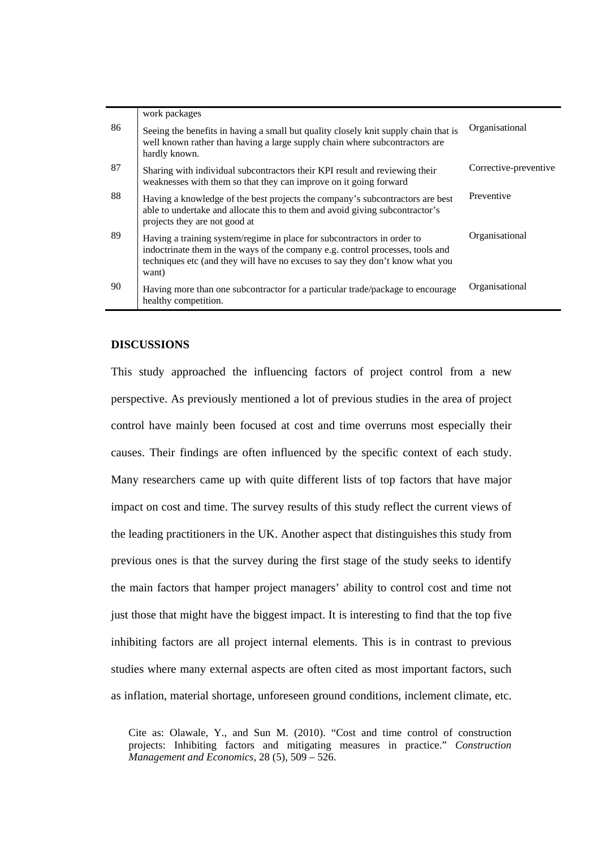|    | work packages                                                                                                                                                                                                                                       |                       |
|----|-----------------------------------------------------------------------------------------------------------------------------------------------------------------------------------------------------------------------------------------------------|-----------------------|
| 86 | Seeing the benefits in having a small but quality closely knit supply chain that is<br>well known rather than having a large supply chain where subcontractors are<br>hardly known.                                                                 | Organisational        |
| 87 | Sharing with individual subcontractors their KPI result and reviewing their<br>weaknesses with them so that they can improve on it going forward                                                                                                    | Corrective-preventive |
| 88 | Having a knowledge of the best projects the company's subcontractors are best<br>able to undertake and allocate this to them and avoid giving subcontractor's<br>projects they are not good at                                                      | Preventive            |
| 89 | Having a training system/regime in place for subcontractors in order to<br>indoctrinate them in the ways of the company e.g. control processes, tools and<br>techniques etc (and they will have no excuses to say they don't know what you<br>want) | Organisational        |
| 90 | Having more than one subcontractor for a particular trade/package to encourage<br>healthy competition.                                                                                                                                              | Organisational        |

## **DISCUSSIONS**

This study approached the influencing factors of project control from a new perspective. As previously mentioned a lot of previous studies in the area of project control have mainly been focused at cost and time overruns most especially their causes. Their findings are often influenced by the specific context of each study. Many researchers came up with quite different lists of top factors that have major impact on cost and time. The survey results of this study reflect the current views of the leading practitioners in the UK. Another aspect that distinguishes this study from previous ones is that the survey during the first stage of the study seeks to identify the main factors that hamper project managers' ability to control cost and time not just those that might have the biggest impact. It is interesting to find that the top five inhibiting factors are all project internal elements. This is in contrast to previous studies where many external aspects are often cited as most important factors, such as inflation, material shortage, unforeseen ground conditions, inclement climate, etc.

Cite as: Olawale, Y., and Sun M. (2010). "Cost and time control of construction projects: Inhibiting factors and mitigating measures in practice." *Construction Management and Economics*, 28 (5), 509 – 526.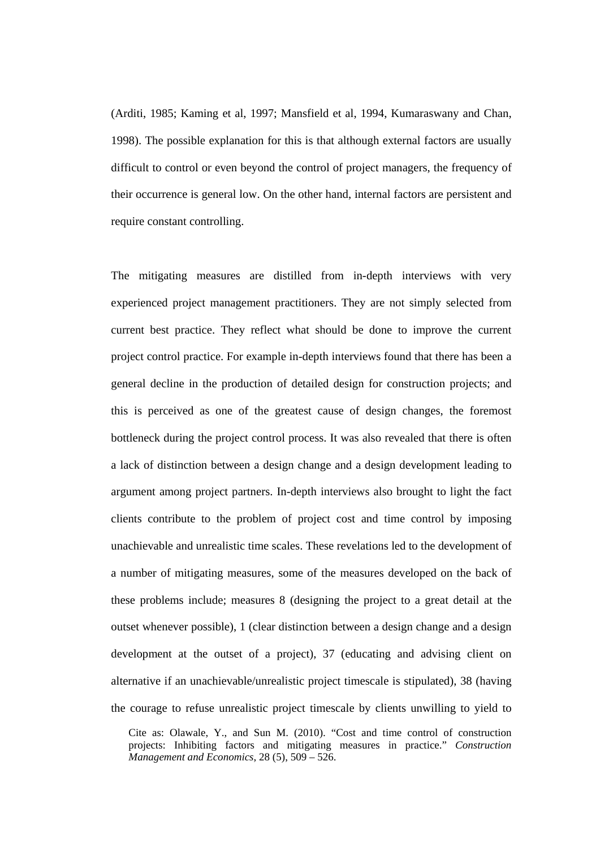(Arditi, 1985; Kaming et al, 1997; Mansfield et al, 1994, Kumaraswany and Chan, 1998). The possible explanation for this is that although external factors are usually difficult to control or even beyond the control of project managers, the frequency of their occurrence is general low. On the other hand, internal factors are persistent and require constant controlling.

The mitigating measures are distilled from in-depth interviews with very experienced project management practitioners. They are not simply selected from current best practice. They reflect what should be done to improve the current project control practice. For example in-depth interviews found that there has been a general decline in the production of detailed design for construction projects; and this is perceived as one of the greatest cause of design changes, the foremost bottleneck during the project control process. It was also revealed that there is often a lack of distinction between a design change and a design development leading to argument among project partners. In-depth interviews also brought to light the fact clients contribute to the problem of project cost and time control by imposing unachievable and unrealistic time scales. These revelations led to the development of a number of mitigating measures, some of the measures developed on the back of these problems include; measures 8 (designing the project to a great detail at the outset whenever possible), 1 (clear distinction between a design change and a design development at the outset of a project), 37 (educating and advising client on alternative if an unachievable/unrealistic project timescale is stipulated), 38 (having the courage to refuse unrealistic project timescale by clients unwilling to yield to

Cite as: Olawale, Y., and Sun M. (2010). "Cost and time control of construction projects: Inhibiting factors and mitigating measures in practice." *Construction Management and Economics*, 28 (5), 509 – 526.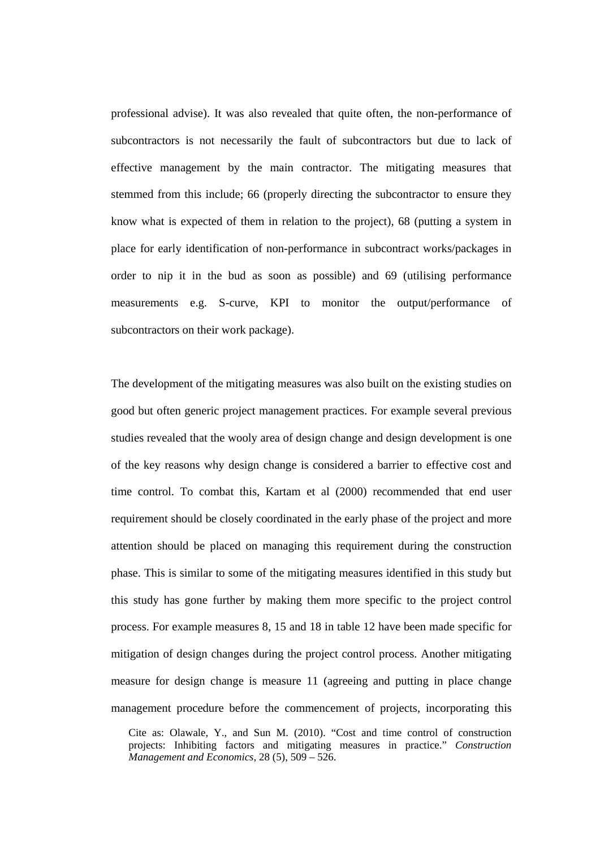professional advise). It was also revealed that quite often, the non-performance of subcontractors is not necessarily the fault of subcontractors but due to lack of effective management by the main contractor. The mitigating measures that stemmed from this include; 66 (properly directing the subcontractor to ensure they know what is expected of them in relation to the project), 68 (putting a system in place for early identification of non-performance in subcontract works/packages in order to nip it in the bud as soon as possible) and 69 (utilising performance measurements e.g. S-curve, KPI to monitor the output/performance of subcontractors on their work package).

The development of the mitigating measures was also built on the existing studies on good but often generic project management practices. For example several previous studies revealed that the wooly area of design change and design development is one of the key reasons why design change is considered a barrier to effective cost and time control. To combat this, Kartam et al (2000) recommended that end user requirement should be closely coordinated in the early phase of the project and more attention should be placed on managing this requirement during the construction phase. This is similar to some of the mitigating measures identified in this study but this study has gone further by making them more specific to the project control process. For example measures 8, 15 and 18 in table 12 have been made specific for mitigation of design changes during the project control process. Another mitigating measure for design change is measure 11 (agreeing and putting in place change management procedure before the commencement of projects, incorporating this

Cite as: Olawale, Y., and Sun M. (2010). "Cost and time control of construction projects: Inhibiting factors and mitigating measures in practice." *Construction Management and Economics*, 28 (5), 509 – 526.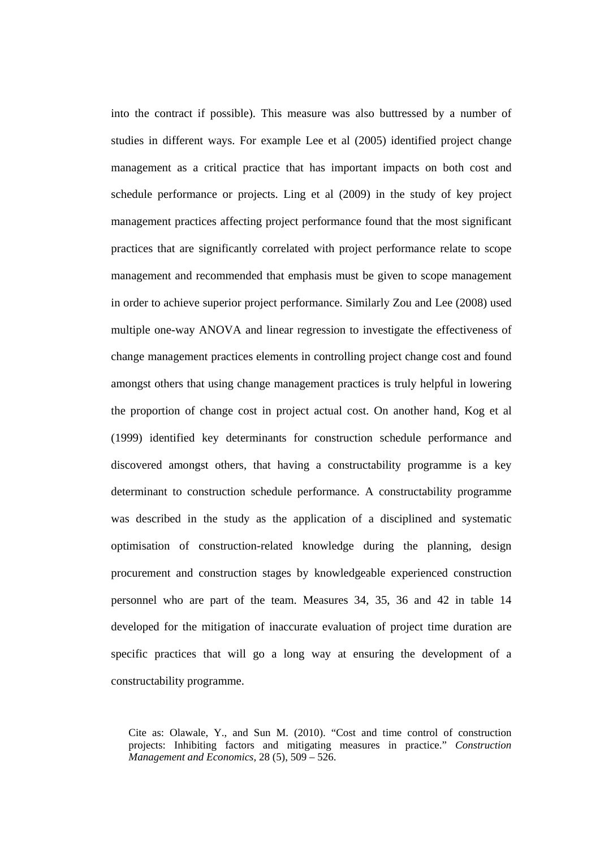into the contract if possible). This measure was also buttressed by a number of studies in different ways. For example Lee et al (2005) identified project change management as a critical practice that has important impacts on both cost and schedule performance or projects. Ling et al (2009) in the study of key project management practices affecting project performance found that the most significant practices that are significantly correlated with project performance relate to scope management and recommended that emphasis must be given to scope management in order to achieve superior project performance. Similarly Zou and Lee (2008) used multiple one-way ANOVA and linear regression to investigate the effectiveness of change management practices elements in controlling project change cost and found amongst others that using change management practices is truly helpful in lowering the proportion of change cost in project actual cost. On another hand, Kog et al (1999) identified key determinants for construction schedule performance and discovered amongst others, that having a constructability programme is a key determinant to construction schedule performance. A constructability programme was described in the study as the application of a disciplined and systematic optimisation of construction-related knowledge during the planning, design procurement and construction stages by knowledgeable experienced construction personnel who are part of the team. Measures 34, 35, 36 and 42 in table 14 developed for the mitigation of inaccurate evaluation of project time duration are specific practices that will go a long way at ensuring the development of a constructability programme.

Cite as: Olawale, Y., and Sun M. (2010). "Cost and time control of construction projects: Inhibiting factors and mitigating measures in practice." *Construction Management and Economics*, 28 (5), 509 – 526.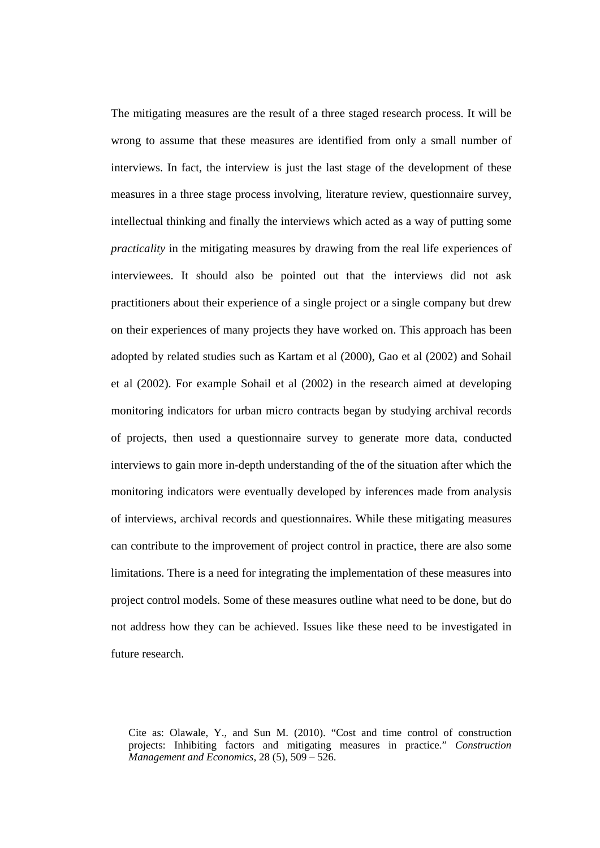The mitigating measures are the result of a three staged research process. It will be wrong to assume that these measures are identified from only a small number of interviews. In fact, the interview is just the last stage of the development of these measures in a three stage process involving, literature review, questionnaire survey, intellectual thinking and finally the interviews which acted as a way of putting some *practicality* in the mitigating measures by drawing from the real life experiences of interviewees. It should also be pointed out that the interviews did not ask practitioners about their experience of a single project or a single company but drew on their experiences of many projects they have worked on. This approach has been adopted by related studies such as Kartam et al (2000), Gao et al (2002) and Sohail et al (2002). For example Sohail et al (2002) in the research aimed at developing monitoring indicators for urban micro contracts began by studying archival records of projects, then used a questionnaire survey to generate more data, conducted interviews to gain more in-depth understanding of the of the situation after which the monitoring indicators were eventually developed by inferences made from analysis of interviews, archival records and questionnaires. While these mitigating measures can contribute to the improvement of project control in practice, there are also some limitations. There is a need for integrating the implementation of these measures into project control models. Some of these measures outline what need to be done, but do not address how they can be achieved. Issues like these need to be investigated in future research.

Cite as: Olawale, Y., and Sun M. (2010). "Cost and time control of construction projects: Inhibiting factors and mitigating measures in practice." *Construction Management and Economics*, 28 (5), 509 – 526.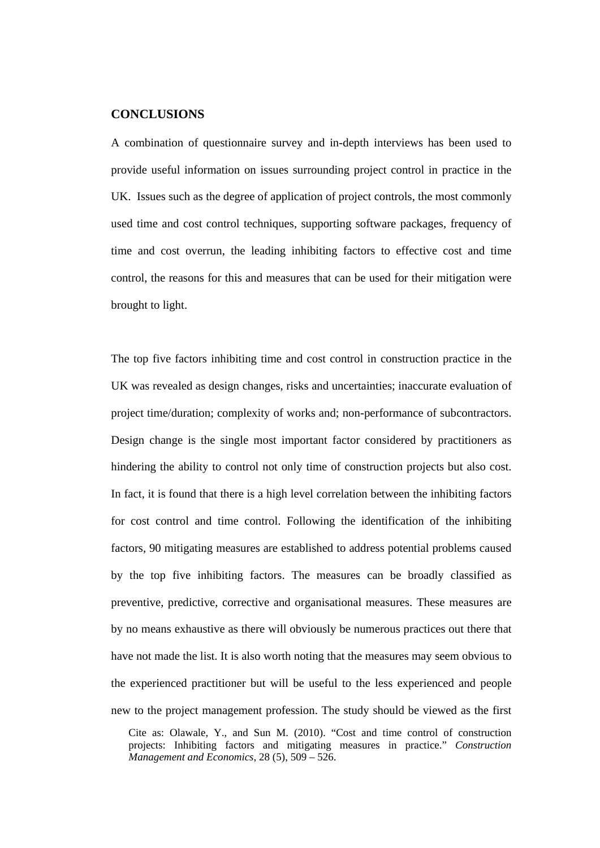## **CONCLUSIONS**

A combination of questionnaire survey and in-depth interviews has been used to provide useful information on issues surrounding project control in practice in the UK. Issues such as the degree of application of project controls, the most commonly used time and cost control techniques, supporting software packages, frequency of time and cost overrun, the leading inhibiting factors to effective cost and time control, the reasons for this and measures that can be used for their mitigation were brought to light.

The top five factors inhibiting time and cost control in construction practice in the UK was revealed as design changes, risks and uncertainties; inaccurate evaluation of project time/duration; complexity of works and; non-performance of subcontractors. Design change is the single most important factor considered by practitioners as hindering the ability to control not only time of construction projects but also cost. In fact, it is found that there is a high level correlation between the inhibiting factors for cost control and time control. Following the identification of the inhibiting factors, 90 mitigating measures are established to address potential problems caused by the top five inhibiting factors. The measures can be broadly classified as preventive, predictive, corrective and organisational measures. These measures are by no means exhaustive as there will obviously be numerous practices out there that have not made the list. It is also worth noting that the measures may seem obvious to the experienced practitioner but will be useful to the less experienced and people new to the project management profession. The study should be viewed as the first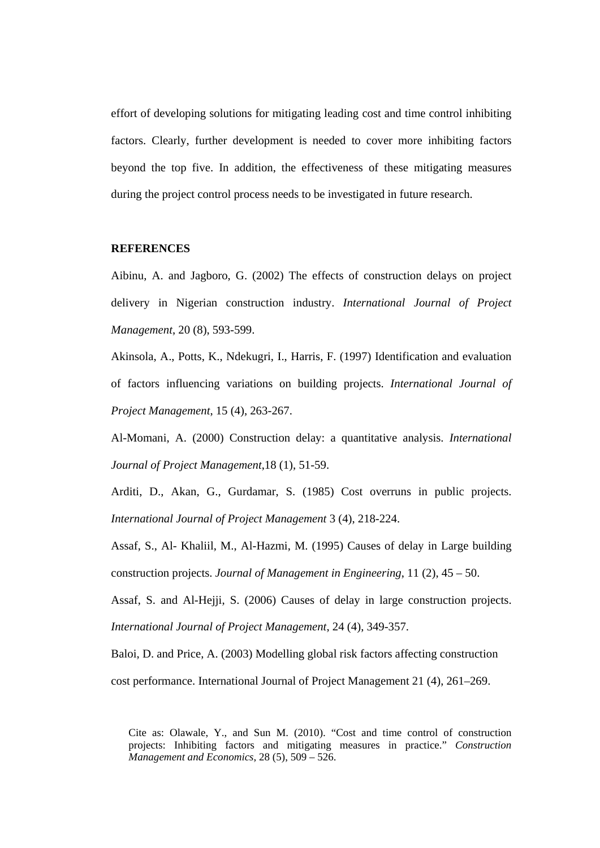effort of developing solutions for mitigating leading cost and time control inhibiting factors. Clearly, further development is needed to cover more inhibiting factors beyond the top five. In addition, the effectiveness of these mitigating measures during the project control process needs to be investigated in future research.

## **REFERENCES**

Aibinu, A. and Jagboro, G. (2002) The effects of construction delays on project delivery in Nigerian construction industry. *International Journal of Project Management*, 20 (8), 593-599.

Akinsola, A., Potts, K., Ndekugri, I., Harris, F. (1997) Identification and evaluation of factors influencing variations on building projects. *International Journal of Project Management*, 15 (4), 263-267.

Al-Momani, A. (2000) Construction delay: a quantitative analysis. *International Journal of Project Management*,18 (1), 51-59.

Arditi, D., Akan, G., Gurdamar, S. (1985) Cost overruns in public projects. *International Journal of Project Management* 3 (4), 218-224.

Assaf, S., Al- Khaliil, M., Al-Hazmi, M. (1995) Causes of delay in Large building construction projects. *Journal of Management in Engineering*, 11 (2), 45 – 50.

Assaf, S. and Al-Hejji, S. (2006) Causes of delay in large construction projects. *International Journal of Project Management*, 24 (4), 349-357.

Baloi, D. and Price, A. (2003) Modelling global risk factors affecting construction cost performance. International Journal of Project Management 21 (4), 261–269.

Cite as: Olawale, Y., and Sun M. (2010). "Cost and time control of construction projects: Inhibiting factors and mitigating measures in practice." *Construction Management and Economics*, 28 (5), 509 – 526.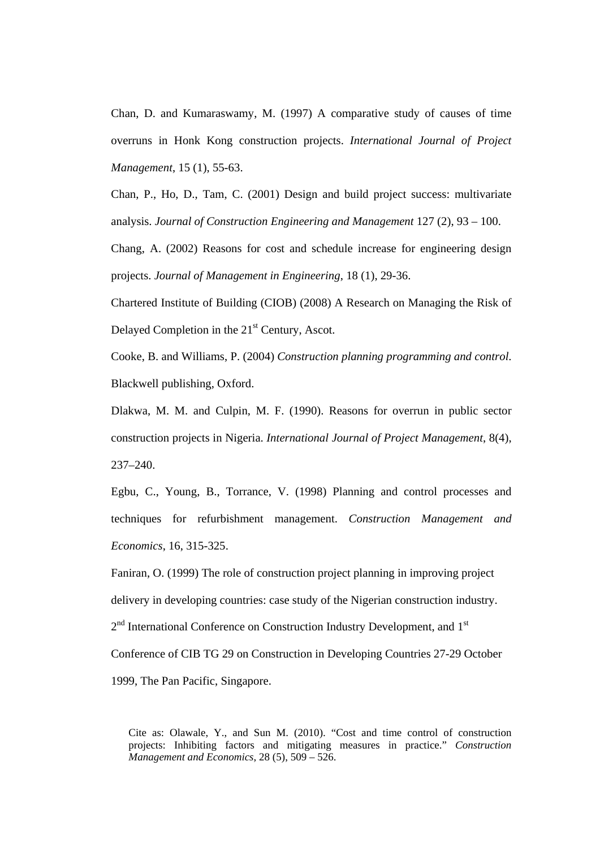Chan, D. and Kumaraswamy, M. (1997) A comparative study of causes of time overruns in Honk Kong construction projects. *International Journal of Project Management*, 15 (1), 55-63.

Chan, P., Ho, D., Tam, C. (2001) Design and build project success: multivariate analysis. *Journal of Construction Engineering and Management* 127 (2), 93 – 100.

Chang, A. (2002) Reasons for cost and schedule increase for engineering design projects. *Journal of Management in Engineering*, 18 (1), 29-36.

Chartered Institute of Building (CIOB) (2008) A Research on Managing the Risk of Delayed Completion in the  $21<sup>st</sup>$  Century, Ascot.

Cooke, B. and Williams, P. (2004) *Construction planning programming and control*. Blackwell publishing, Oxford.

Dlakwa, M. M. and Culpin, M. F. (1990). Reasons for overrun in public sector construction projects in Nigeria. *International Journal of Project Management*, 8(4), 237–240.

Egbu, C., Young, B., Torrance, V. (1998) Planning and control processes and techniques for refurbishment management. *Construction Management and Economics*, 16, 315-325.

Faniran, O. (1999) The role of construction project planning in improving project delivery in developing countries: case study of the Nigerian construction industry.  $2<sup>nd</sup>$  International Conference on Construction Industry Development, and  $1<sup>st</sup>$ Conference of CIB TG 29 on Construction in Developing Countries 27-29 October 1999, The Pan Pacific, Singapore.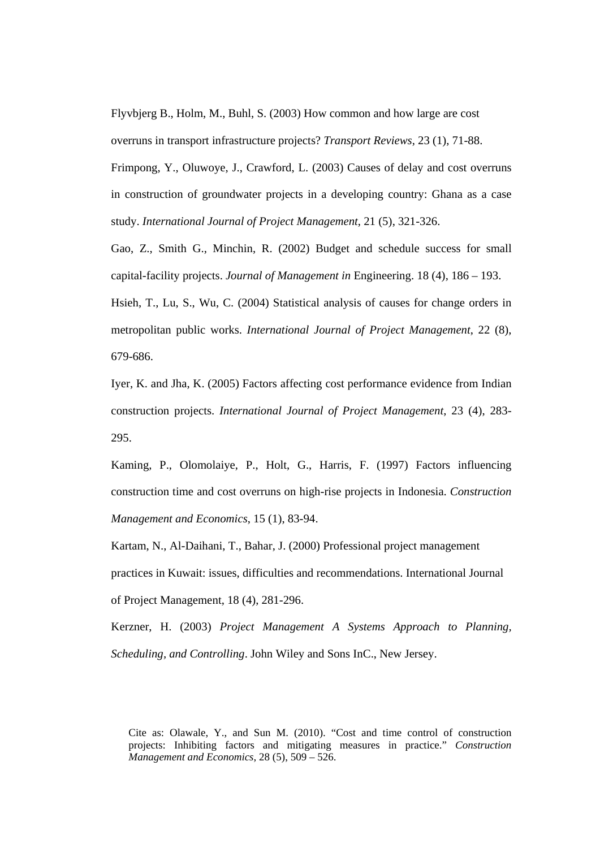Flyvbjerg B., Holm, M., Buhl, S. (2003) How common and how large are cost overruns in transport infrastructure projects? *Transport Reviews*, 23 (1), 71-88.

Frimpong, Y., Oluwoye, J., Crawford, L. (2003) Causes of delay and cost overruns in construction of groundwater projects in a developing country: Ghana as a case study. *International Journal of Project Management*, 21 (5), 321-326.

Gao, Z., Smith G., Minchin, R. (2002) Budget and schedule success for small capital-facility projects. *Journal of Management in* Engineering. 18 (4), 186 – 193.

Hsieh, T., Lu, S., Wu, C. (2004) Statistical analysis of causes for change orders in metropolitan public works. *International Journal of Project Management*, 22 (8), 679-686.

Iyer, K. and Jha, K. (2005) Factors affecting cost performance evidence from Indian construction projects. *International Journal of Project Management*, 23 (4), 283- 295.

Kaming, P., Olomolaiye, P., Holt, G., Harris, F. (1997) Factors influencing construction time and cost overruns on high-rise projects in Indonesia. *Construction Management and Economics*, 15 (1), 83-94.

Kartam, N., Al-Daihani, T., Bahar, J. (2000) Professional project management practices in Kuwait: issues, difficulties and recommendations. International Journal of Project Management, 18 (4), 281-296.

Kerzner, H. (2003) *Project Management A Systems Approach to Planning, Scheduling, and Controlling*. John Wiley and Sons InC., New Jersey.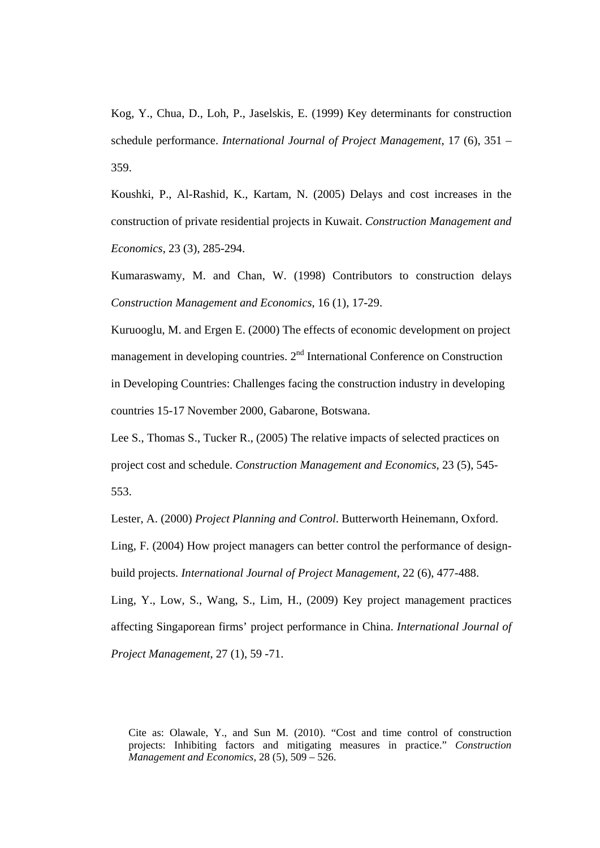Kog, Y., Chua, D., Loh, P., Jaselskis, E. (1999) Key determinants for construction schedule performance. *International Journal of Project Management*, 17 (6), 351 – 359.

Koushki, P., Al-Rashid, K., Kartam, N. (2005) Delays and cost increases in the construction of private residential projects in Kuwait. *Construction Management and Economics*, 23 (3), 285-294.

Kumaraswamy, M. and Chan, W. (1998) Contributors to construction delays *Construction Management and Economics*, 16 (1), 17-29.

Kuruooglu, M. and Ergen E. (2000) The effects of economic development on project management in developing countries. 2<sup>nd</sup> International Conference on Construction in Developing Countries: Challenges facing the construction industry in developing countries 15-17 November 2000, Gabarone, Botswana.

Lee S., Thomas S., Tucker R., (2005) The relative impacts of selected practices on project cost and schedule. *Construction Management and Economics*, 23 (5), 545- 553.

Lester, A. (2000) *Project Planning and Control*. Butterworth Heinemann, Oxford.

Ling, F. (2004) How project managers can better control the performance of designbuild projects. *International Journal of Project Management*, 22 (6), 477-488.

Ling, Y., Low, S., Wang, S., Lim, H., (2009) Key project management practices affecting Singaporean firms' project performance in China. *International Journal of Project Management*, 27 (1), 59 -71.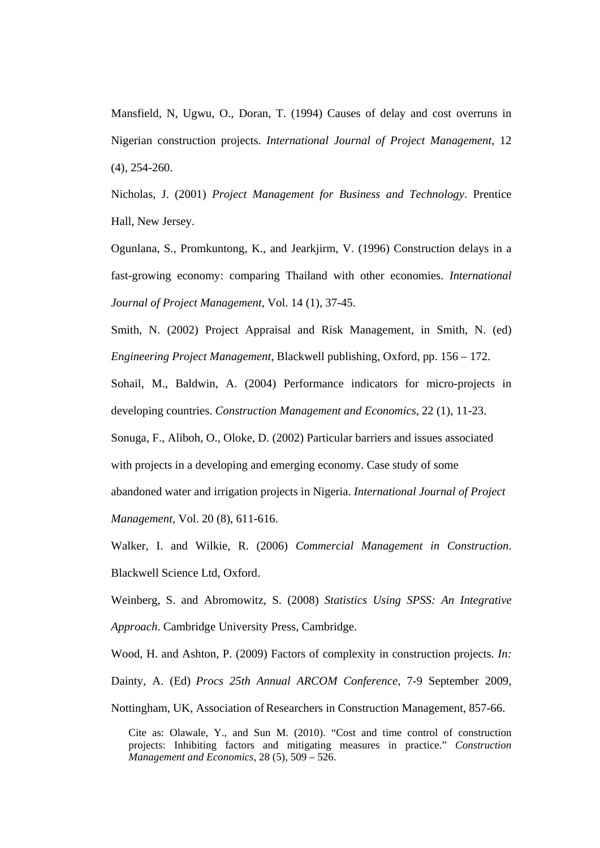Mansfield, N, Ugwu, O., Doran, T. (1994) Causes of delay and cost overruns in Nigerian construction projects. *International Journal of Project Management*, 12 (4), 254-260.

Nicholas, J. (2001) *Project Management for Business and Technology*. Prentice Hall, New Jersey.

Ogunlana, S., Promkuntong, K., and Jearkjirm, V. (1996) Construction delays in a fast-growing economy: comparing Thailand with other economies. *International Journal of Project Management*, Vol. 14 (1), 37-45.

Smith, N. (2002) Project Appraisal and Risk Management, in Smith, N. (ed) *Engineering Project Management*, Blackwell publishing, Oxford, pp. 156 – 172.

Sohail, M., Baldwin, A. (2004) Performance indicators for micro-projects in developing countries. *Construction Management and Economics*, 22 (1), 11-23.

Sonuga, F., Aliboh, O., Oloke, D. (2002) Particular barriers and issues associated with projects in a developing and emerging economy. Case study of some abandoned water and irrigation projects in Nigeria. *International Journal of Project Management,* Vol. 20 (8), 611-616.

Walker, I. and Wilkie, R. (2006) *Commercial Management in Construction*. Blackwell Science Ltd, Oxford.

Weinberg, S. and Abromowitz, S. (2008) *Statistics Using SPSS: An Integrative Approach*. Cambridge University Press, Cambridge.

Wood, H. and Ashton, P. (2009) Factors of complexity in construction projects. *In:*  Dainty, A. (Ed) *Procs 25th Annual ARCOM Conference,* 7-9 September 2009, Nottingham, UK, Association of Researchers in Construction Management, 857-66.